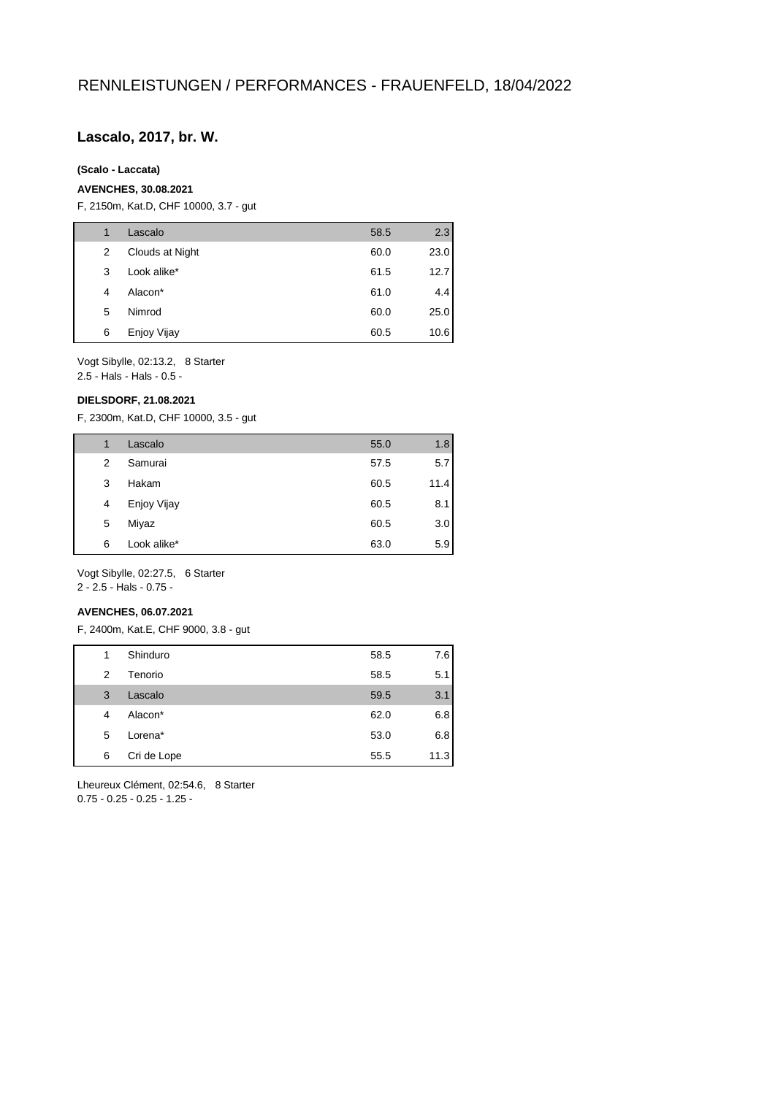## **Lascalo, 2017, br. W.**

#### **(Scalo - Laccata)**

### **AVENCHES, 30.08.2021**

F, 2150m, Kat.D, CHF 10000, 3.7 - gut

| 1 | Lascalo         | 58.5 | 2.3  |
|---|-----------------|------|------|
| 2 | Clouds at Night | 60.0 | 23.0 |
| 3 | Look alike*     | 61.5 | 12.7 |
| 4 | Alacon*         | 61.0 | 4.4  |
| 5 | Nimrod          | 60.0 | 25.0 |
| 6 | Enjoy Vijay     | 60.5 | 10.6 |

Vogt Sibylle, 02:13.2, 8 Starter 2.5 - Hals - Hals - 0.5 -

#### **DIELSDORF, 21.08.2021**

F, 2300m, Kat.D, CHF 10000, 3.5 - gut

| 1 | Lascalo     | 55.0 | 1.8  |
|---|-------------|------|------|
| 2 | Samurai     | 57.5 | 5.7  |
| 3 | Hakam       | 60.5 | 11.4 |
| 4 | Enjoy Vijay | 60.5 | 8.1  |
| 5 | Miyaz       | 60.5 | 3.0  |
| 6 | Look alike* | 63.0 | 5.9  |

Vogt Sibylle, 02:27.5, 6 Starter 2 - 2.5 - Hals - 0.75 -

#### **AVENCHES, 06.07.2021**

F, 2400m, Kat.E, CHF 9000, 3.8 - gut

| 1 | Shinduro    | 58.5 | 7.6  |
|---|-------------|------|------|
| 2 | Tenorio     | 58.5 | 5.1  |
| 3 | Lascalo     | 59.5 | 3.1  |
| 4 | Alacon*     | 62.0 | 6.8  |
| 5 | Lorena*     | 53.0 | 6.8  |
| 6 | Cri de Lope | 55.5 | 11.3 |
|   |             |      |      |

Lheureux Clément, 02:54.6, 8 Starter 0.75 - 0.25 - 0.25 - 1.25 -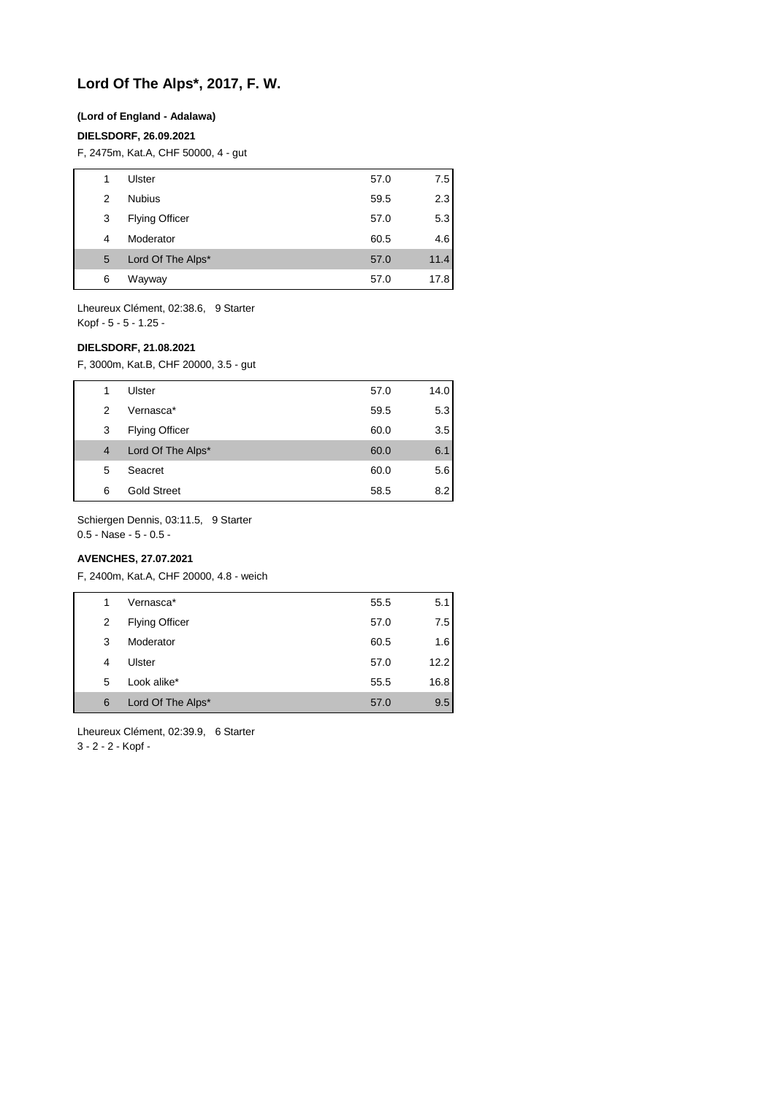## **Lord Of The Alps\*, 2017, F. W.**

#### **(Lord of England - Adalawa)**

#### **DIELSDORF, 26.09.2021**

F, 2475m, Kat.A, CHF 50000, 4 - gut

| 1 | Ulster                | 57.0 | 7.5  |
|---|-----------------------|------|------|
| 2 | <b>Nubius</b>         | 59.5 | 2.3  |
| 3 | <b>Flying Officer</b> | 57.0 | 5.3  |
| 4 | Moderator             | 60.5 | 4.6  |
| 5 | Lord Of The Alps*     | 57.0 | 11.4 |
| 6 | Wayway                | 57.0 | 17.8 |

Lheureux Clément, 02:38.6, 9 Starter Kopf - 5 - 5 - 1.25 -

### **DIELSDORF, 21.08.2021**

F, 3000m, Kat.B, CHF 20000, 3.5 - gut

| 1 | Ulster                | 57.0 | 14.0 |
|---|-----------------------|------|------|
| 2 | Vernasca*             | 59.5 | 5.3  |
| 3 | <b>Flying Officer</b> | 60.0 | 3.5  |
| 4 | Lord Of The Alps*     | 60.0 | 6.1  |
| 5 | Seacret               | 60.0 | 5.6  |
| 6 | <b>Gold Street</b>    | 58.5 | 8.2  |

Schiergen Dennis, 03:11.5, 9 Starter

0.5 - Nase - 5 - 0.5 -

## **AVENCHES, 27.07.2021**

F, 2400m, Kat.A, CHF 20000, 4.8 - weich

|   | Vernasca*             | 55.5 | 5.1  |
|---|-----------------------|------|------|
| 2 | <b>Flying Officer</b> | 57.0 | 7.5  |
| 3 | Moderator             | 60.5 | 1.6  |
| 4 | Ulster                | 57.0 | 12.2 |
| 5 | Look alike*           | 55.5 | 16.8 |
| 6 | Lord Of The Alps*     | 57.0 | 9.5  |

Lheureux Clément, 02:39.9, 6 Starter

3 - 2 - 2 - Kopf -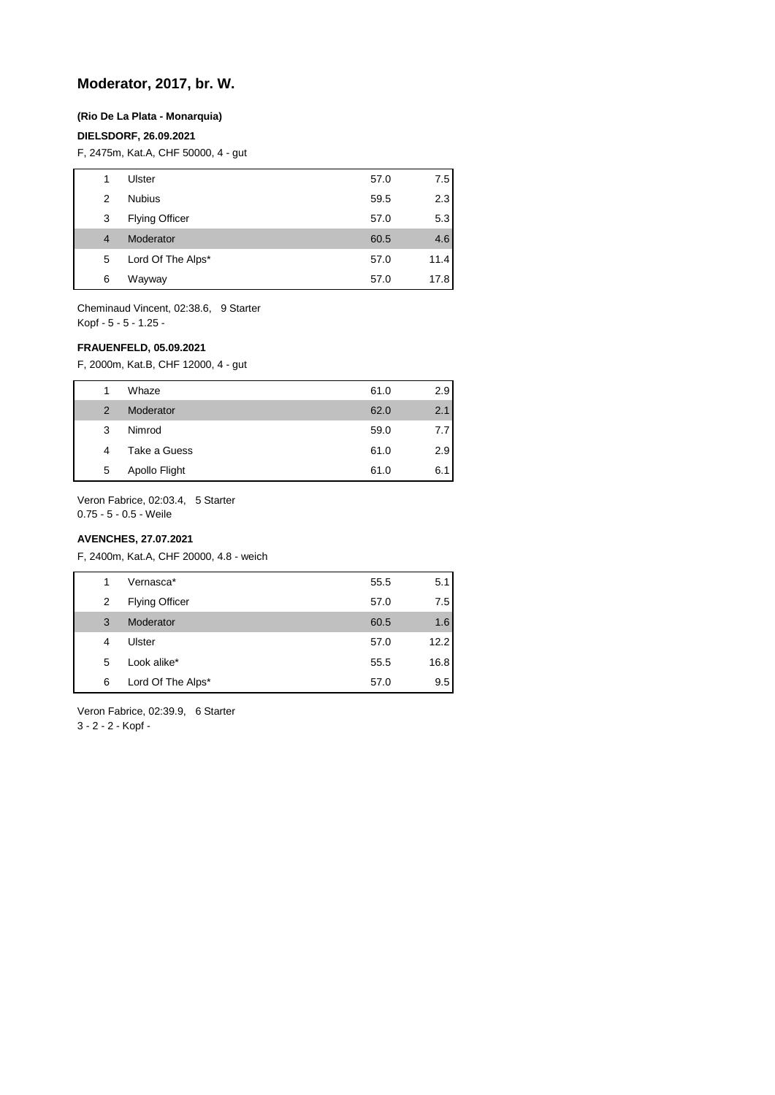## **Moderator, 2017, br. W.**

#### **(Rio De La Plata - Monarquia)**

#### **DIELSDORF, 26.09.2021**

F, 2475m, Kat.A, CHF 50000, 4 - gut

| 1              | Ulster                | 57.0 | 7.5  |
|----------------|-----------------------|------|------|
| 2              | <b>Nubius</b>         | 59.5 | 2.3  |
| 3              | <b>Flying Officer</b> | 57.0 | 5.3  |
| $\overline{4}$ | Moderator             | 60.5 | 4.6  |
| 5              | Lord Of The Alps*     | 57.0 | 11.4 |
| 6              | Wayway                | 57.0 | 17.8 |

Cheminaud Vincent, 02:38.6, 9 Starter Kopf - 5 - 5 - 1.25 -

#### **FRAUENFELD, 05.09.2021**

F, 2000m, Kat.B, CHF 12000, 4 - gut

| 1 | Whaze         | 61.0 | 2.9   |
|---|---------------|------|-------|
| 2 | Moderator     | 62.0 | 2.1   |
| 3 | Nimrod        | 59.0 | 7.7 I |
| 4 | Take a Guess  | 61.0 | 2.9   |
| 5 | Apollo Flight | 61.0 | 6.1   |

Veron Fabrice, 02:03.4, 5 Starter 0.75 - 5 - 0.5 - Weile

#### **AVENCHES, 27.07.2021**

F, 2400m, Kat.A, CHF 20000, 4.8 - weich

| 1 | Vernasca*             | 55.5 | 5.1  |
|---|-----------------------|------|------|
| 2 | <b>Flying Officer</b> | 57.0 | 7.5  |
| 3 | Moderator             | 60.5 | 1.6  |
| 4 | Ulster                | 57.0 | 12.2 |
| 5 | Look alike*           | 55.5 | 16.8 |
| 6 | Lord Of The Alps*     | 57.0 | 9.5  |

Veron Fabrice, 02:39.9, 6 Starter 3 - 2 - 2 - Kopf -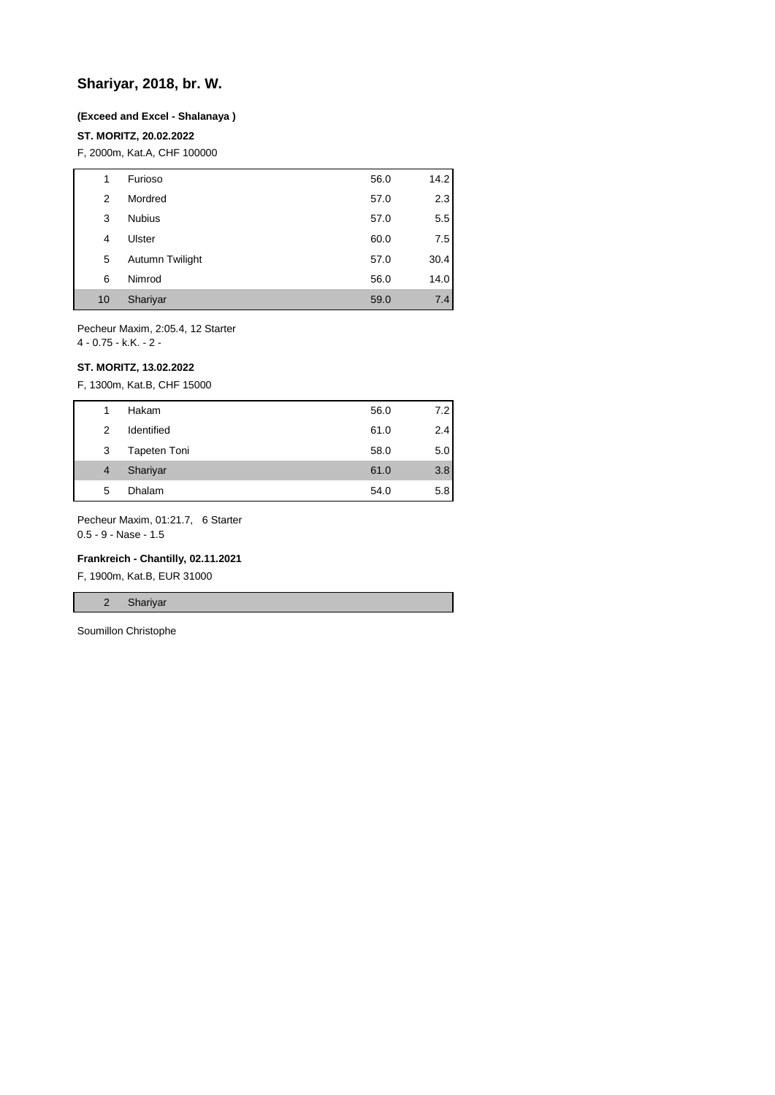## **Shariyar, 2018, br. W.**

#### **(Exceed and Excel - Shalanaya )**

### **ST. MORITZ, 20.02.2022**

F, 2000m, Kat.A, CHF 100000

| 1  | Furioso         | 56.0 | 14.2 |
|----|-----------------|------|------|
| 2  | Mordred         | 57.0 | 2.3  |
| 3  | <b>Nubius</b>   | 57.0 | 5.5  |
| 4  | Ulster          | 60.0 | 7.5  |
| 5  | Autumn Twilight | 57.0 | 30.4 |
| 6  | Nimrod          | 56.0 | 14.0 |
| 10 | Shariyar        | 59.0 | 7.4  |

Pecheur Maxim, 2:05.4, 12 Starter

4 - 0.75 - k.K. - 2 -

#### **ST. MORITZ, 13.02.2022**

F, 1300m, Kat.B, CHF 15000

| 1              | Hakam        | 56.0 | 7.2 |
|----------------|--------------|------|-----|
| 2              | Identified   | 61.0 | 2.4 |
| 3              | Tapeten Toni | 58.0 | 5.0 |
| $\overline{4}$ | Shariyar     | 61.0 | 3.8 |
| 5              | Dhalam       | 54.0 | 5.8 |
|                |              |      |     |

Pecheur Maxim, 01:21.7, 6 Starter

0.5 - 9 - Nase - 1.5

#### **Frankreich - Chantilly, 02.11.2021**

F, 1900m, Kat.B, EUR 31000

2 Shariyar

Soumillon Christophe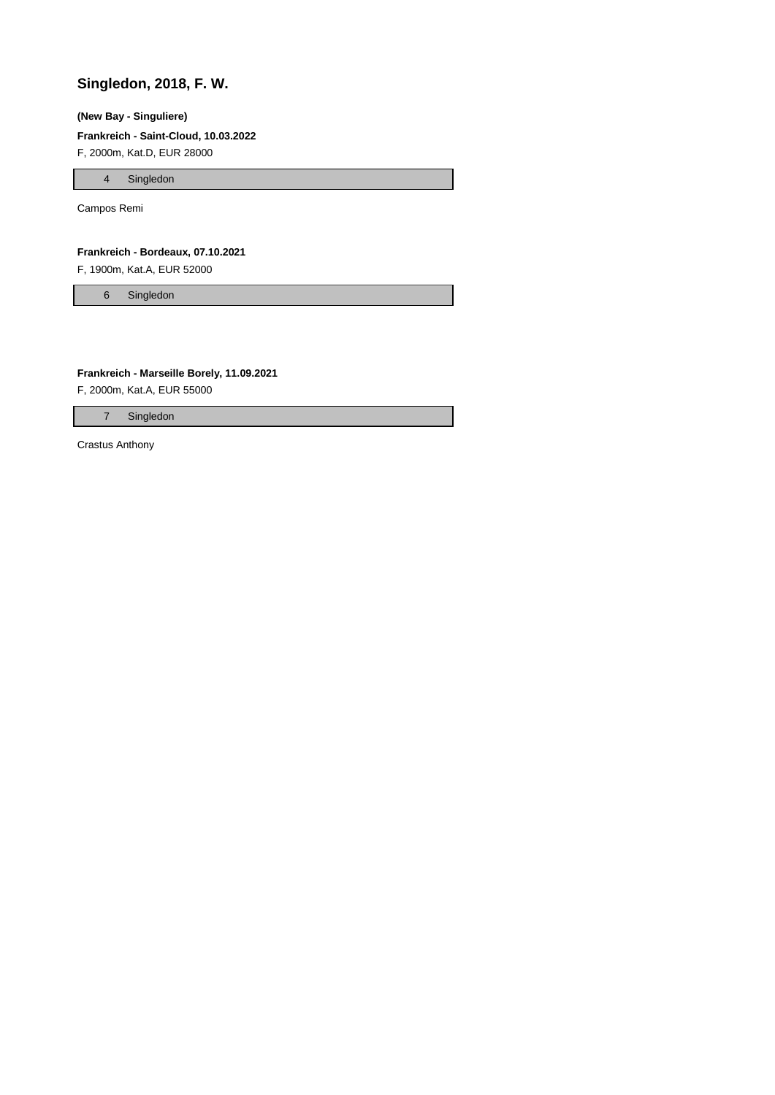## **Singledon, 2018, F. W.**

### **(New Bay - Singuliere)**

#### **Frankreich - Saint-Cloud, 10.03.2022**

F, 2000m, Kat.D, EUR 28000

4 Singledon

Campos Remi

#### **Frankreich - Bordeaux, 07.10.2021**

F, 1900m, Kat.A, EUR 52000

6 Singledon

#### **Frankreich - Marseille Borely, 11.09.2021**

F, 2000m, Kat.A, EUR 55000

7 Singledon

Crastus Anthony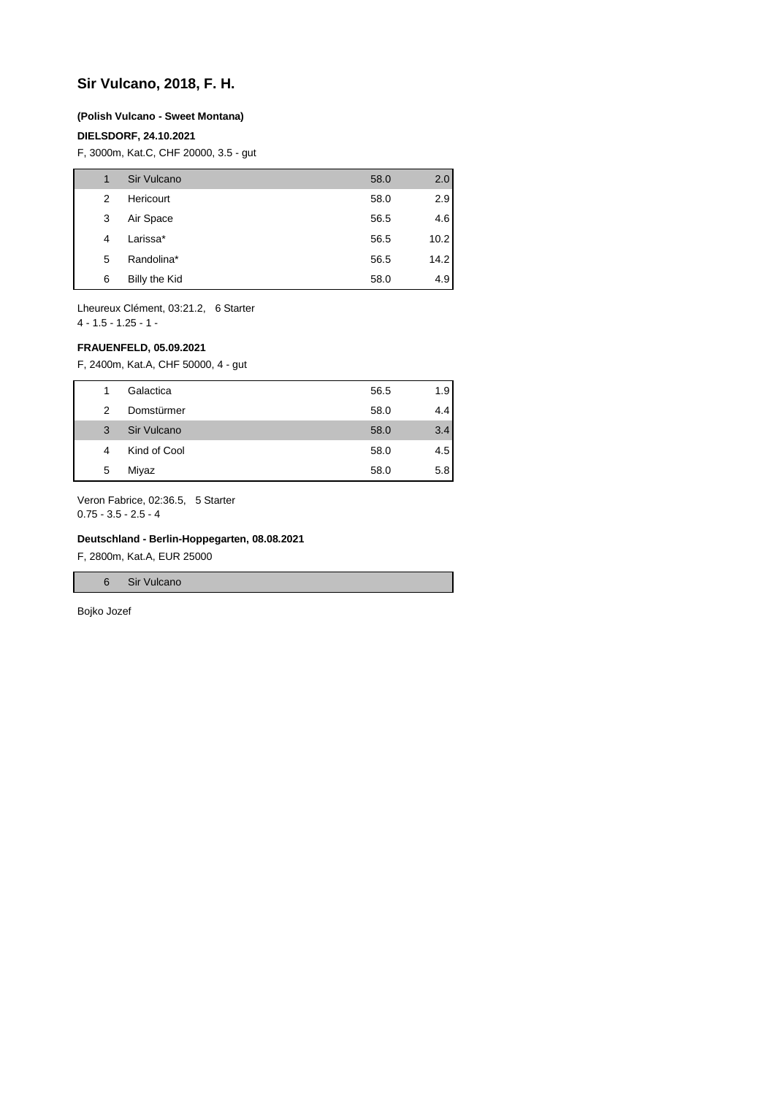## **Sir Vulcano, 2018, F. H.**

#### **(Polish Vulcano - Sweet Montana)**

### **DIELSDORF, 24.10.2021**

F, 3000m, Kat.C, CHF 20000, 3.5 - gut

| 1 | Sir Vulcano   | 58.0 | 2.0  |
|---|---------------|------|------|
| 2 | Hericourt     | 58.0 | 2.9  |
| 3 | Air Space     | 56.5 | 4.6  |
| 4 | Larissa*      | 56.5 | 10.2 |
| 5 | Randolina*    | 56.5 | 14.2 |
| 6 | Billy the Kid | 58.0 | 4.9  |

Lheureux Clément, 03:21.2, 6 Starter 4 - 1.5 - 1.25 - 1 -

#### **FRAUENFELD, 05.09.2021**

F, 2400m, Kat.A, CHF 50000, 4 - gut

|   | Galactica    | 56.5 | 1.9 |
|---|--------------|------|-----|
| 2 | Domstürmer   | 58.0 | 4.4 |
| 3 | Sir Vulcano  | 58.0 | 3.4 |
| 4 | Kind of Cool | 58.0 | 4.5 |
| 5 | Miyaz        | 58.0 | 5.8 |

Veron Fabrice, 02:36.5, 5 Starter

0.75 - 3.5 - 2.5 - 4

#### **Deutschland - Berlin-Hoppegarten, 08.08.2021**

F, 2800m, Kat.A, EUR 25000

6 Sir Vulcano

Bojko Jozef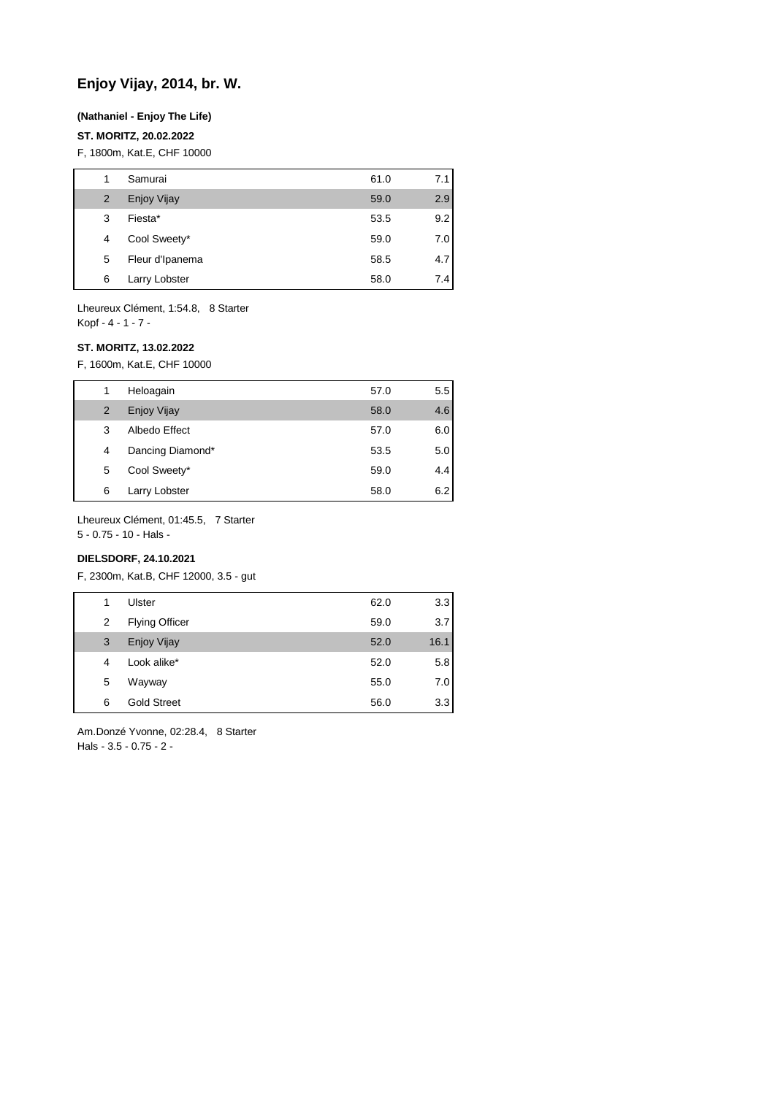## **Enjoy Vijay, 2014, br. W.**

#### **(Nathaniel - Enjoy The Life)**

#### **ST. MORITZ, 20.02.2022**

F, 1800m, Kat.E, CHF 10000

| 1 | Samurai            | 61.0 | 7.1 |
|---|--------------------|------|-----|
| 2 | <b>Enjoy Vijay</b> | 59.0 | 2.9 |
| 3 | Fiesta*            | 53.5 | 9.2 |
| 4 | Cool Sweety*       | 59.0 | 7.0 |
| 5 | Fleur d'Ipanema    | 58.5 | 4.7 |
| 6 | Larry Lobster      | 58.0 | 7.4 |

Lheureux Clément, 1:54.8, 8 Starter Kopf - 4 - 1 - 7 -

#### **ST. MORITZ, 13.02.2022**

F, 1600m, Kat.E, CHF 10000

| 1 | Heloagain        | 57.0 | $5.5^{\circ}$ |
|---|------------------|------|---------------|
| 2 | Enjoy Vijay      | 58.0 | 4.6           |
| 3 | Albedo Effect    | 57.0 | 6.0           |
| 4 | Dancing Diamond* | 53.5 | 5.0           |
| 5 | Cool Sweety*     | 59.0 | 4.4           |
| 6 | Larry Lobster    | 58.0 | 6.2           |

Lheureux Clément, 01:45.5, 7 Starter

5 - 0.75 - 10 - Hals -

## **DIELSDORF, 24.10.2021**

F, 2300m, Kat.B, CHF 12000, 3.5 - gut

| 1 | Ulster                | 62.0 | 3.3  |
|---|-----------------------|------|------|
| 2 | <b>Flying Officer</b> | 59.0 | 3.7  |
| 3 | <b>Enjoy Vijay</b>    | 52.0 | 16.1 |
| 4 | Look alike*           | 52.0 | 5.8  |
| 5 | Wayway                | 55.0 | 7.0  |
| 6 | <b>Gold Street</b>    | 56.0 | 3.3  |
|   |                       |      |      |

Am.Donzé Yvonne, 02:28.4, 8 Starter Hals - 3.5 - 0.75 - 2 -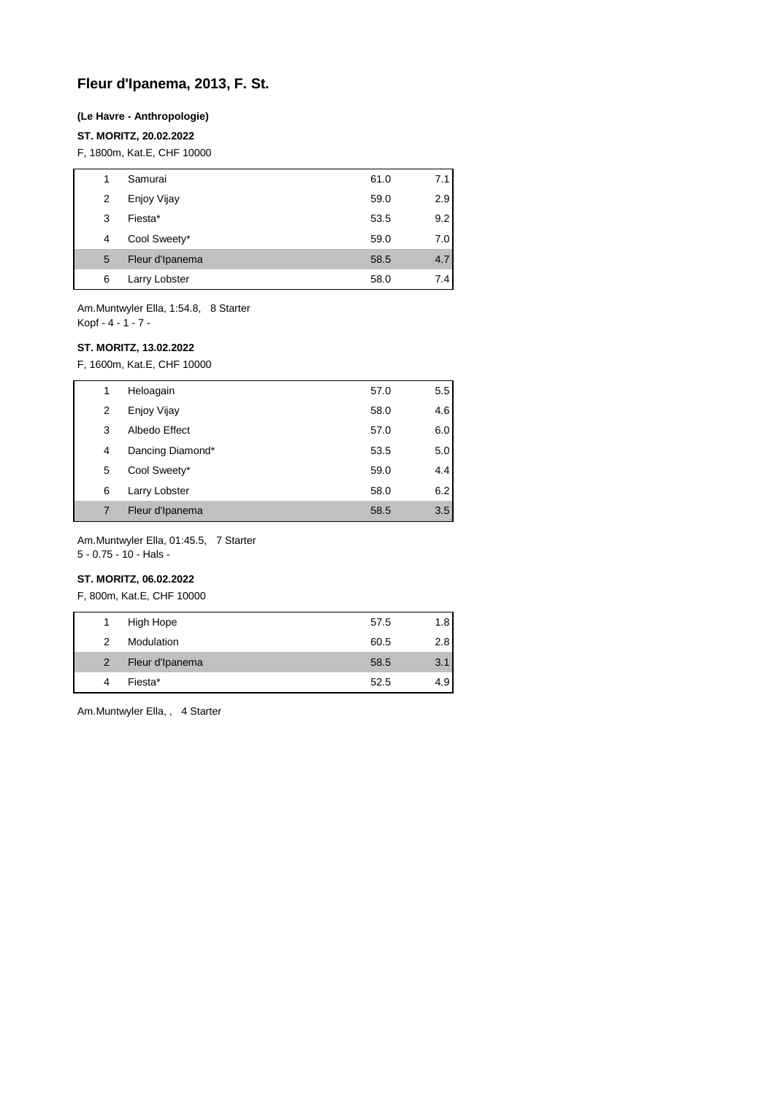## **Fleur d'Ipanema, 2013, F. St.**

#### **(Le Havre - Anthropologie)**

### **ST. MORITZ, 20.02.2022**

F, 1800m, Kat.E, CHF 10000

| 1 | Samurai         | 61.0 | 7.1 |
|---|-----------------|------|-----|
| 2 | Enjoy Vijay     | 59.0 | 2.9 |
| 3 | Fiesta*         | 53.5 | 9.2 |
| 4 | Cool Sweety*    | 59.0 | 7.0 |
| 5 | Fleur d'Ipanema | 58.5 | 4.7 |
| 6 | Larry Lobster   | 58.0 | 7.4 |

Am.Muntwyler Ella, 1:54.8, 8 Starter Kopf - 4 - 1 - 7 -

#### **ST. MORITZ, 13.02.2022**

F, 1600m, Kat.E, CHF 10000

| 1 | Heloagain        | 57.0 | 5.5 |
|---|------------------|------|-----|
| 2 | Enjoy Vijay      | 58.0 | 4.6 |
| 3 | Albedo Effect    | 57.0 | 6.0 |
| 4 | Dancing Diamond* | 53.5 | 5.0 |
| 5 | Cool Sweety*     | 59.0 | 4.4 |
| 6 | Larry Lobster    | 58.0 | 6.2 |
|   | Fleur d'Ipanema  | 58.5 | 3.5 |

Am.Muntwyler Ella, 01:45.5, 7 Starter

5 - 0.75 - 10 - Hals -

## **ST. MORITZ, 06.02.2022**

F, 800m, Kat.E, CHF 10000

| 1              | High Hope       | 57.5 | 1.8 |
|----------------|-----------------|------|-----|
| 2              | Modulation      | 60.5 | 2.8 |
| $\overline{2}$ | Fleur d'Ipanema | 58.5 | 3.1 |
| 4              | Fiesta*         | 52.5 | 4.9 |

Am.Muntwyler Ella, , 4 Starter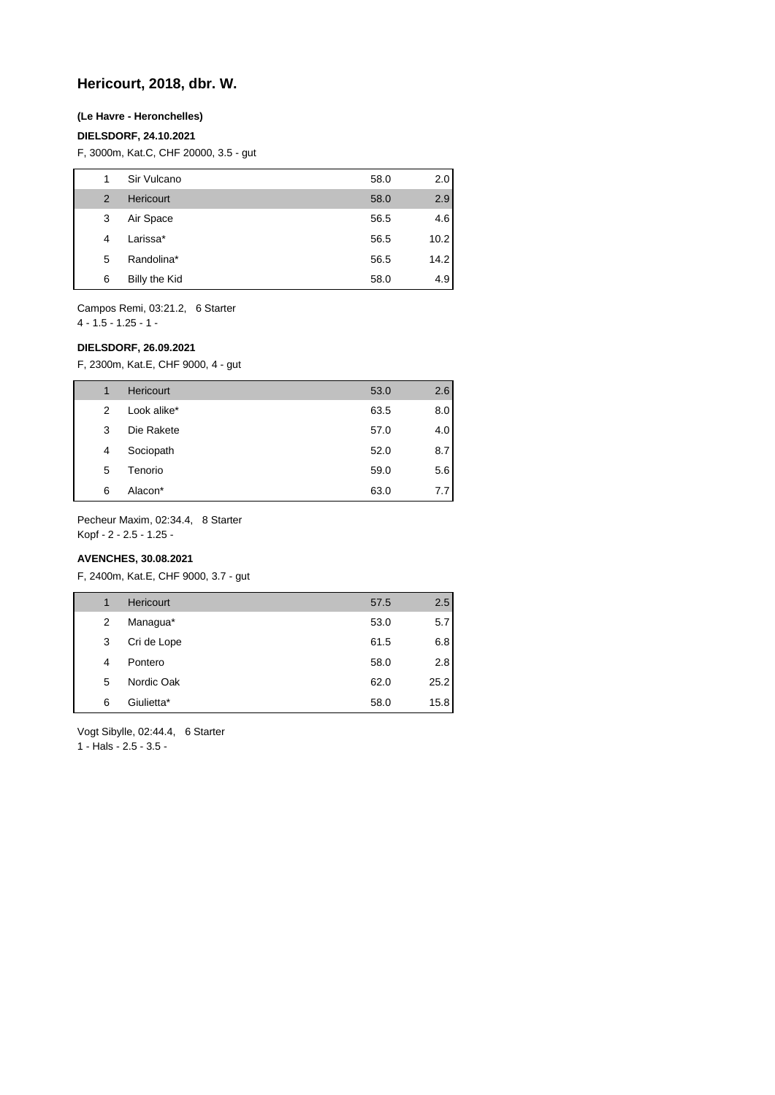## **Hericourt, 2018, dbr. W.**

#### **(Le Havre - Heronchelles)**

#### **DIELSDORF, 24.10.2021**

F, 3000m, Kat.C, CHF 20000, 3.5 - gut

| 1              | Sir Vulcano      | 58.0 | 2.0  |
|----------------|------------------|------|------|
| $\overline{2}$ | <b>Hericourt</b> | 58.0 | 2.9  |
| 3              | Air Space        | 56.5 | 4.6  |
| 4              | Larissa*         | 56.5 | 10.2 |
| 5              | Randolina*       | 56.5 | 14.2 |
| 6              | Billy the Kid    | 58.0 | 4.9  |

Campos Remi, 03:21.2, 6 Starter

4 - 1.5 - 1.25 - 1 -

#### **DIELSDORF, 26.09.2021**

F, 2300m, Kat.E, CHF 9000, 4 - gut

| 1 | <b>Hericourt</b> | 53.0 | 2.6 |
|---|------------------|------|-----|
| 2 | Look alike*      | 63.5 | 8.0 |
| 3 | Die Rakete       | 57.0 | 4.0 |
| 4 | Sociopath        | 52.0 | 8.7 |
| 5 | Tenorio          | 59.0 | 5.6 |
| 6 | Alacon*          | 63.0 | 7.7 |

Pecheur Maxim, 02:34.4, 8 Starter

Kopf - 2 - 2.5 - 1.25 -

## **AVENCHES, 30.08.2021**

F, 2400m, Kat.E, CHF 9000, 3.7 - gut

| 57.5 | 2.5  |
|------|------|
| 53.0 | 5.7  |
| 61.5 | 6.8  |
| 58.0 | 2.8  |
| 62.0 | 25.2 |
| 58.0 | 15.8 |
|      |      |

Vogt Sibylle, 02:44.4, 6 Starter

1 - Hals - 2.5 - 3.5 -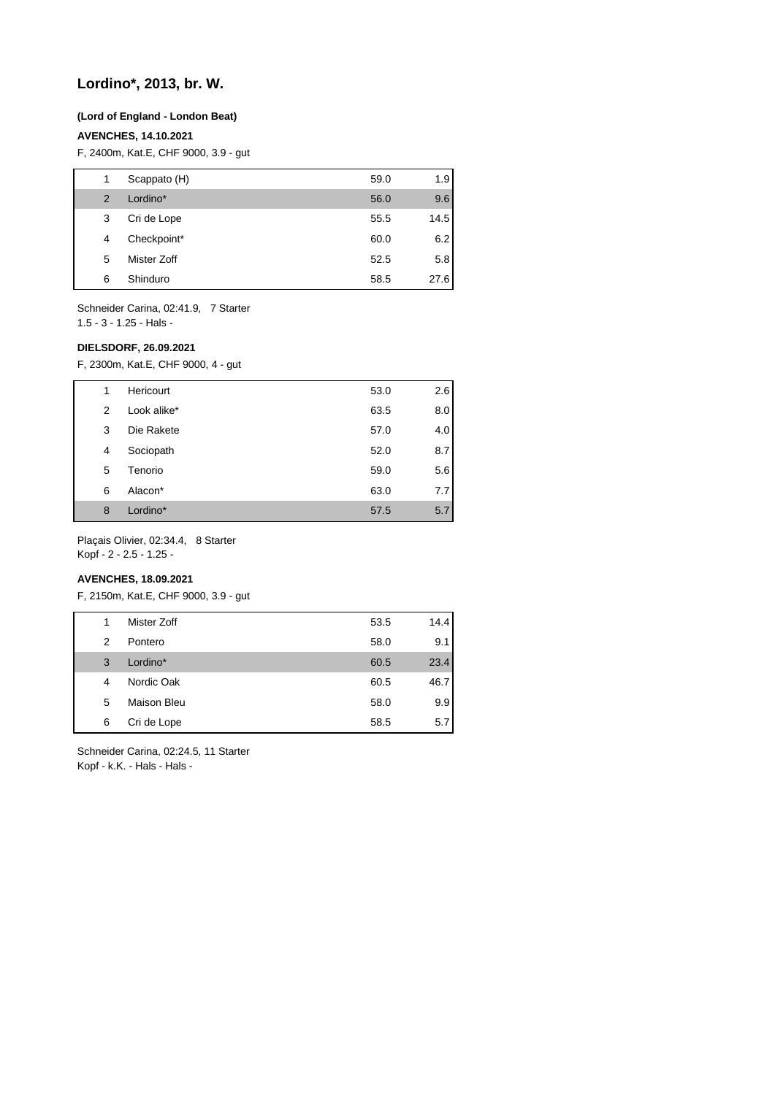## **Lordino\*, 2013, br. W.**

#### **(Lord of England - London Beat)**

#### **AVENCHES, 14.10.2021**

F, 2400m, Kat.E, CHF 9000, 3.9 - gut

| 1              | Scappato (H) | 59.0 | 1.9  |
|----------------|--------------|------|------|
| $\overline{2}$ | Lordino*     | 56.0 | 9.6  |
| 3              | Cri de Lope  | 55.5 | 14.5 |
| 4              | Checkpoint*  | 60.0 | 6.2  |
| 5              | Mister Zoff  | 52.5 | 5.8  |
| 6              | Shinduro     | 58.5 | 27.6 |

Schneider Carina, 02:41.9, 7 Starter 1.5 - 3 - 1.25 - Hals -

#### **DIELSDORF, 26.09.2021**

F, 2300m, Kat.E, CHF 9000, 4 - gut

| 1 | Hericourt   | 53.0 | 2.6 |
|---|-------------|------|-----|
| 2 | Look alike* | 63.5 | 8.0 |
| 3 | Die Rakete  | 57.0 | 4.0 |
| 4 | Sociopath   | 52.0 | 8.7 |
| 5 | Tenorio     | 59.0 | 5.6 |
| 6 | Alacon*     | 63.0 | 7.7 |
| 8 | Lordino*    | 57.5 | 5.7 |

Plaçais Olivier, 02:34.4, 8 Starter Kopf - 2 - 2.5 - 1.25 -

### **AVENCHES, 18.09.2021**

F, 2150m, Kat.E, CHF 9000, 3.9 - gut

| 1             | Mister Zoff        | 53.5 | 14.4 |
|---------------|--------------------|------|------|
| $\mathcal{P}$ | Pontero            | 58.0 | 9.1  |
| 3             | Lordino*           | 60.5 | 23.4 |
| 4             | Nordic Oak         | 60.5 | 46.7 |
| 5             | <b>Maison Bleu</b> | 58.0 | 9.9  |
| 6             | Cri de Lope        | 58.5 | 5.7  |

Schneider Carina, 02:24.5, 11 Starter Kopf - k.K. - Hals - Hals -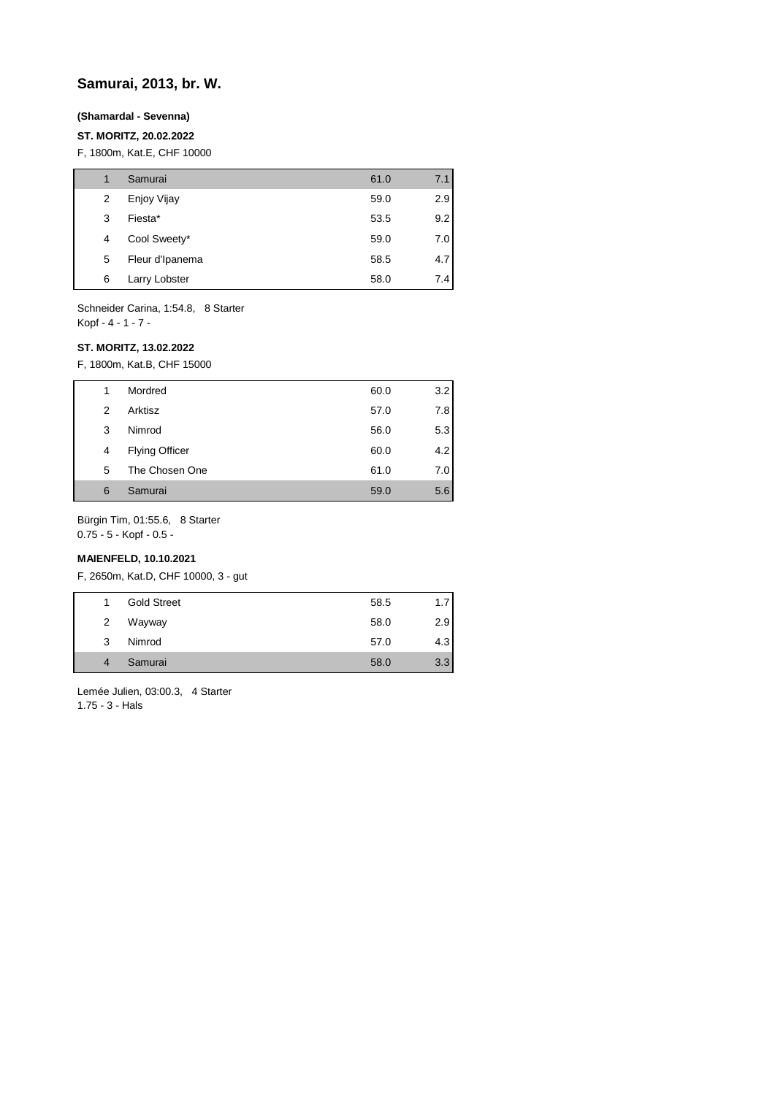## **Samurai, 2013, br. W.**

#### **(Shamardal - Sevenna)**

### **ST. MORITZ, 20.02.2022**

F, 1800m, Kat.E, CHF 10000

|   | Samurai         | 61.0 | 7.1 |
|---|-----------------|------|-----|
| 2 | Enjoy Vijay     | 59.0 | 2.9 |
| 3 | Fiesta*         | 53.5 | 9.2 |
| 4 | Cool Sweety*    | 59.0 | 7.0 |
| 5 | Fleur d'Ipanema | 58.5 | 4.7 |
| 6 | Larry Lobster   | 58.0 | 7.4 |

Schneider Carina, 1:54.8, 8 Starter Kopf - 4 - 1 - 7 -

#### **ST. MORITZ, 13.02.2022**

F, 1800m, Kat.B, CHF 15000

| 1 | Mordred               | 60.0 | 3.2 |
|---|-----------------------|------|-----|
| 2 | Arktisz               | 57.0 | 7.8 |
| 3 | Nimrod                | 56.0 | 5.3 |
| 4 | <b>Flying Officer</b> | 60.0 | 4.2 |
| 5 | The Chosen One        | 61.0 | 7.0 |
| 6 | Samurai               | 59.0 | 5.6 |

Bürgin Tim, 01:55.6, 8 Starter

0.75 - 5 - Kopf - 0.5 -

## **MAIENFELD, 10.10.2021**

F, 2650m, Kat.D, CHF 10000, 3 - gut

| 1.             | <b>Gold Street</b> | 58.5 | 1.7 |
|----------------|--------------------|------|-----|
| $\overline{2}$ | Wayway             | 58.0 | 2.9 |
| 3              | Nimrod             | 57.0 | 4.3 |
| $\overline{4}$ | Samurai            | 58.0 | 3.3 |

Lemée Julien, 03:00.3, 4 Starter 1.75 - 3 - Hals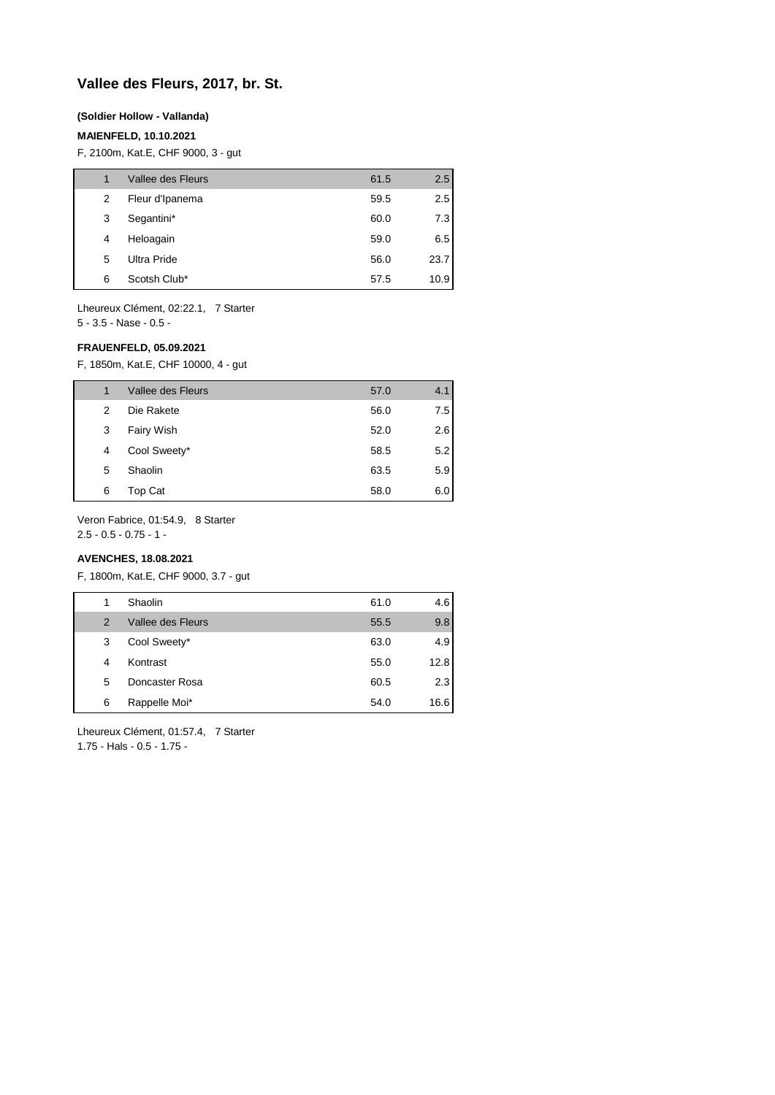## **Vallee des Fleurs, 2017, br. St.**

#### **(Soldier Hollow - Vallanda)**

### **MAIENFELD, 10.10.2021**

F, 2100m, Kat.E, CHF 9000, 3 - gut

| 1 | Vallee des Fleurs | 61.5 | 2.5  |
|---|-------------------|------|------|
| 2 | Fleur d'Ipanema   | 59.5 | 2.5  |
| 3 | Segantini*        | 60.0 | 7.3  |
| 4 | Heloagain         | 59.0 | 6.5  |
| 5 | Ultra Pride       | 56.0 | 23.7 |
| 6 | Scotsh Club*      | 57.5 | 10.9 |

Lheureux Clément, 02:22.1, 7 Starter 5 - 3.5 - Nase - 0.5 -

#### **FRAUENFELD, 05.09.2021**

F, 1850m, Kat.E, CHF 10000, 4 - gut

| 1 | Vallee des Fleurs | 57.0 | 4.1 |
|---|-------------------|------|-----|
| 2 | Die Rakete        | 56.0 | 7.5 |
| 3 | Fairy Wish        | 52.0 | 2.6 |
| 4 | Cool Sweety*      | 58.5 | 5.2 |
| 5 | Shaolin           | 63.5 | 5.9 |
| 6 | Top Cat           | 58.0 | 6.0 |

Veron Fabrice, 01:54.9, 8 Starter

2.5 - 0.5 - 0.75 - 1 -

### **AVENCHES, 18.08.2021**

F, 1800m, Kat.E, CHF 9000, 3.7 - gut

| 1 | Shaolin           | 61.0 | 4.6  |
|---|-------------------|------|------|
| 2 | Vallee des Fleurs | 55.5 | 9.8  |
| 3 | Cool Sweety*      | 63.0 | 4.9  |
| 4 | Kontrast          | 55.0 | 12.8 |
| 5 | Doncaster Rosa    | 60.5 | 2.3  |
| 6 | Rappelle Moi*     | 54.0 | 16.6 |
|   |                   |      |      |

Lheureux Clément, 01:57.4, 7 Starter

1.75 - Hals - 0.5 - 1.75 -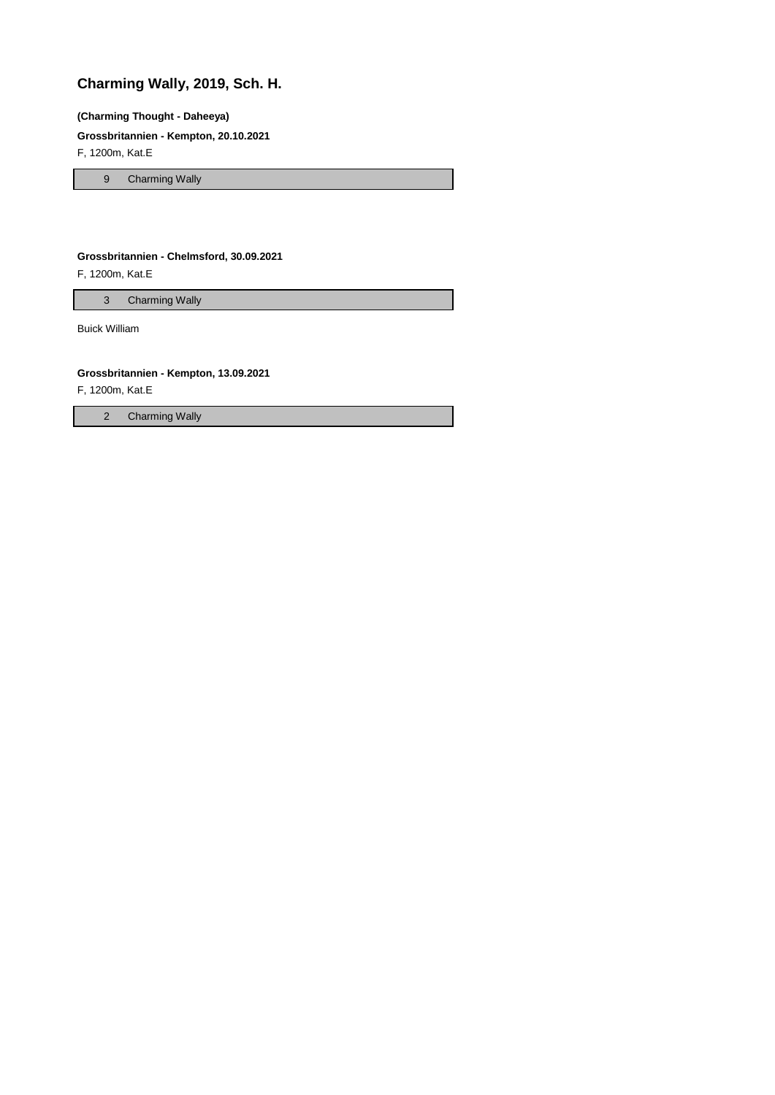# **Charming Wally, 2019, Sch. H.**

### **(Charming Thought - Daheeya)**

### **Grossbritannien - Kempton, 20.10.2021**

F, 1200m, Kat.E

9 Charming Wally

#### **Grossbritannien - Chelmsford, 30.09.2021**

F, 1200m, Kat.E

3 Charming Wally

Buick William

#### **Grossbritannien - Kempton, 13.09.2021**

F, 1200m, Kat.E

2 Charming Wally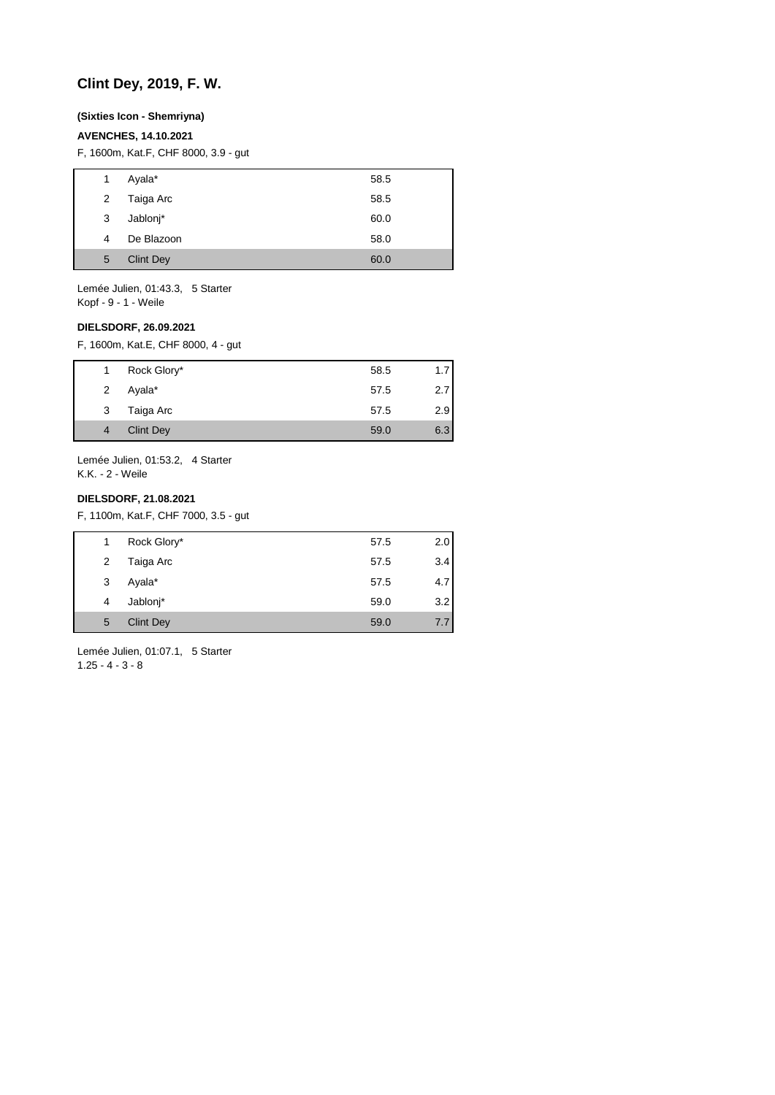## **Clint Dey, 2019, F. W.**

#### **(Sixties Icon - Shemriyna)**

### **AVENCHES, 14.10.2021**

F, 1600m, Kat.F, CHF 8000, 3.9 - gut

| $\mathbf{1}$ | Ayala*           | 58.5 |
|--------------|------------------|------|
| $\mathbf{2}$ | Taiga Arc        | 58.5 |
| 3            | Jablonj*         | 60.0 |
| 4            | De Blazoon       | 58.0 |
| 5            | <b>Clint Dey</b> | 60.0 |
|              |                  |      |

Lemée Julien, 01:43.3, 5 Starter Kopf - 9 - 1 - Weile

#### **DIELSDORF, 26.09.2021**

F, 1600m, Kat.E, CHF 8000, 4 - gut

| $1 \quad$      | Rock Glory*      | 58.5 | 1.7 |
|----------------|------------------|------|-----|
| $\overline{2}$ | Ayala*           | 57.5 | 2.7 |
| 3              | Taiga Arc        | 57.5 | 2.9 |
| $\overline{4}$ | <b>Clint Dey</b> | 59.0 | 6.3 |
|                |                  |      |     |

Lemée Julien, 01:53.2, 4 Starter K.K. - 2 - Weile

### **DIELSDORF, 21.08.2021**

F, 1100m, Kat.F, CHF 7000, 3.5 - gut

| 1 | Rock Glory*      | 57.5 | 2.0 |
|---|------------------|------|-----|
| 2 | Taiga Arc        | 57.5 | 3.4 |
| 3 | Ayala*           | 57.5 | 4.7 |
| 4 | Jablonj*         | 59.0 | 3.2 |
| 5 | <b>Clint Dey</b> | 59.0 | 7.7 |

Lemée Julien, 01:07.1, 5 Starter  $1.25 - 4 - 3 - 8$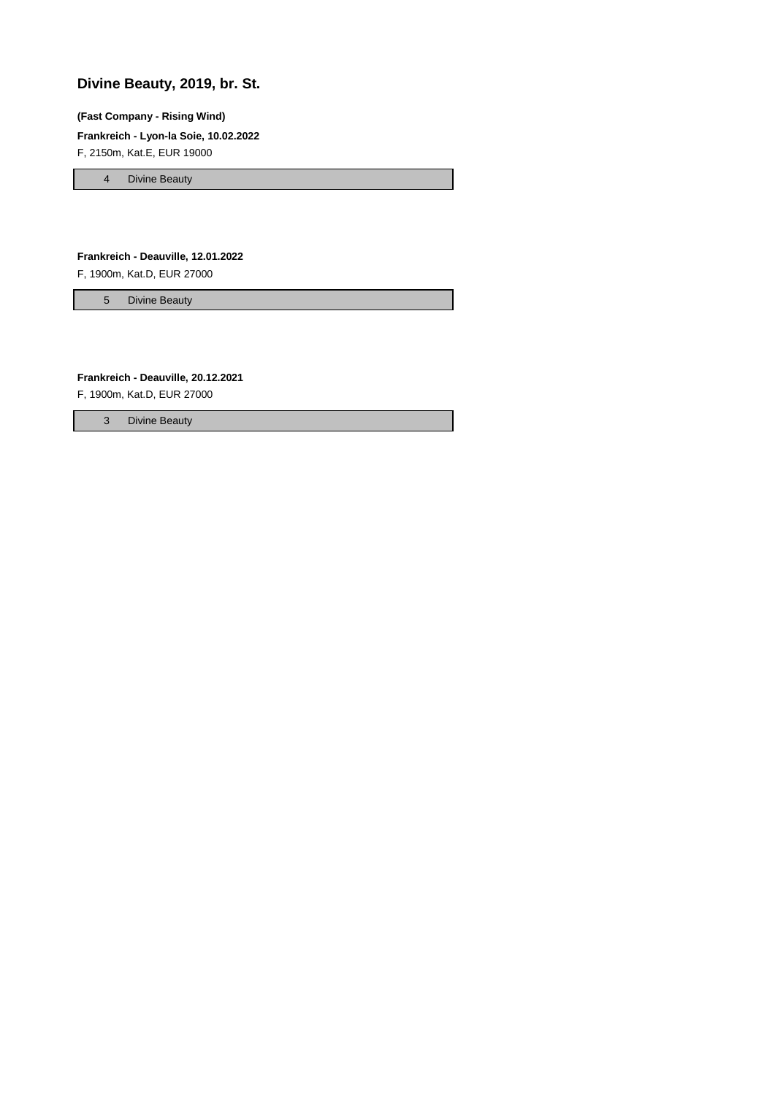# **Divine Beauty, 2019, br. St.**

#### **(Fast Company - Rising Wind)**

**Frankreich - Lyon-la Soie, 10.02.2022**

F, 2150m, Kat.E, EUR 19000

4 Divine Beauty

#### **Frankreich - Deauville, 12.01.2022**

F, 1900m, Kat.D, EUR 27000

5 Divine Beauty

### **Frankreich - Deauville, 20.12.2021**

F, 1900m, Kat.D, EUR 27000

3 Divine Beauty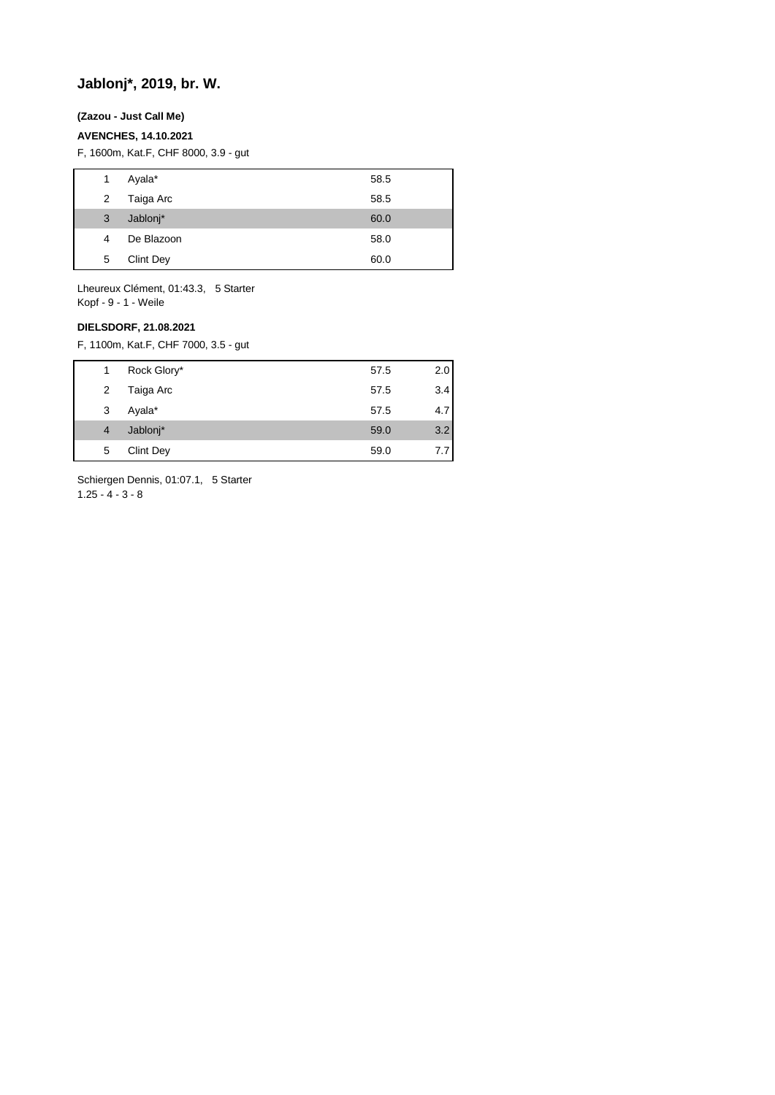# **Jablonj\*, 2019, br. W.**

#### **(Zazou - Just Call Me)**

#### **AVENCHES, 14.10.2021**

F, 1600m, Kat.F, CHF 8000, 3.9 - gut

| 1 | Ayala*           | 58.5 |
|---|------------------|------|
| 2 | Taiga Arc        | 58.5 |
| 3 | Jablonj*         | 60.0 |
| 4 | De Blazoon       | 58.0 |
| 5 | <b>Clint Dey</b> | 60.0 |

Lheureux Clément, 01:43.3, 5 Starter Kopf - 9 - 1 - Weile

## **DIELSDORF, 21.08.2021**

F, 1100m, Kat.F, CHF 7000, 3.5 - gut

| 1              | Rock Glory*      | 57.5 | 2.0 |
|----------------|------------------|------|-----|
| 2              | Taiga Arc        | 57.5 | 3.4 |
| 3              | Ayala*           | 57.5 | 4.7 |
| $\overline{4}$ | Jablonj*         | 59.0 | 3.2 |
| 5              | <b>Clint Dey</b> | 59.0 | 7.7 |
|                |                  |      |     |

Schiergen Dennis, 01:07.1, 5 Starter  $1.25 - 4 - 3 - 8$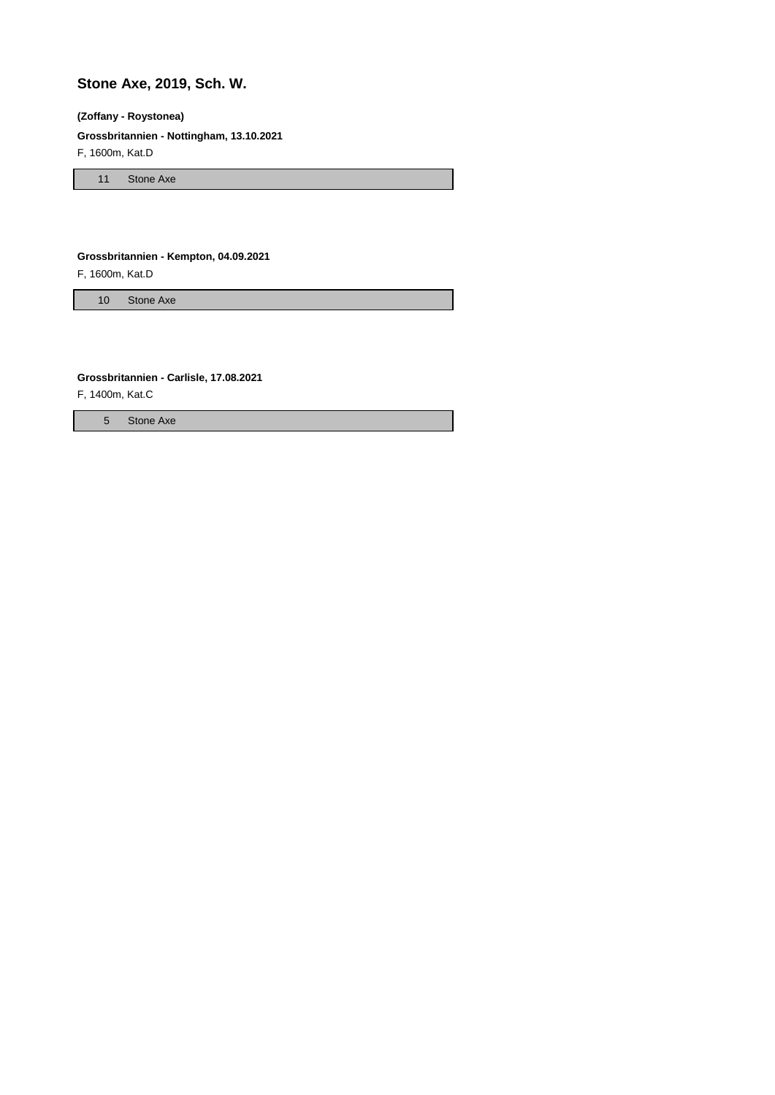# **Stone Axe, 2019, Sch. W.**

#### **(Zoffany - Roystonea)**

**Grossbritannien - Nottingham, 13.10.2021**

F, 1600m, Kat.D

11 Stone Axe

#### **Grossbritannien - Kempton, 04.09.2021**

F, 1600m, Kat.D

10 Stone Axe

### **Grossbritannien - Carlisle, 17.08.2021**

F, 1400m, Kat.C

5 Stone Axe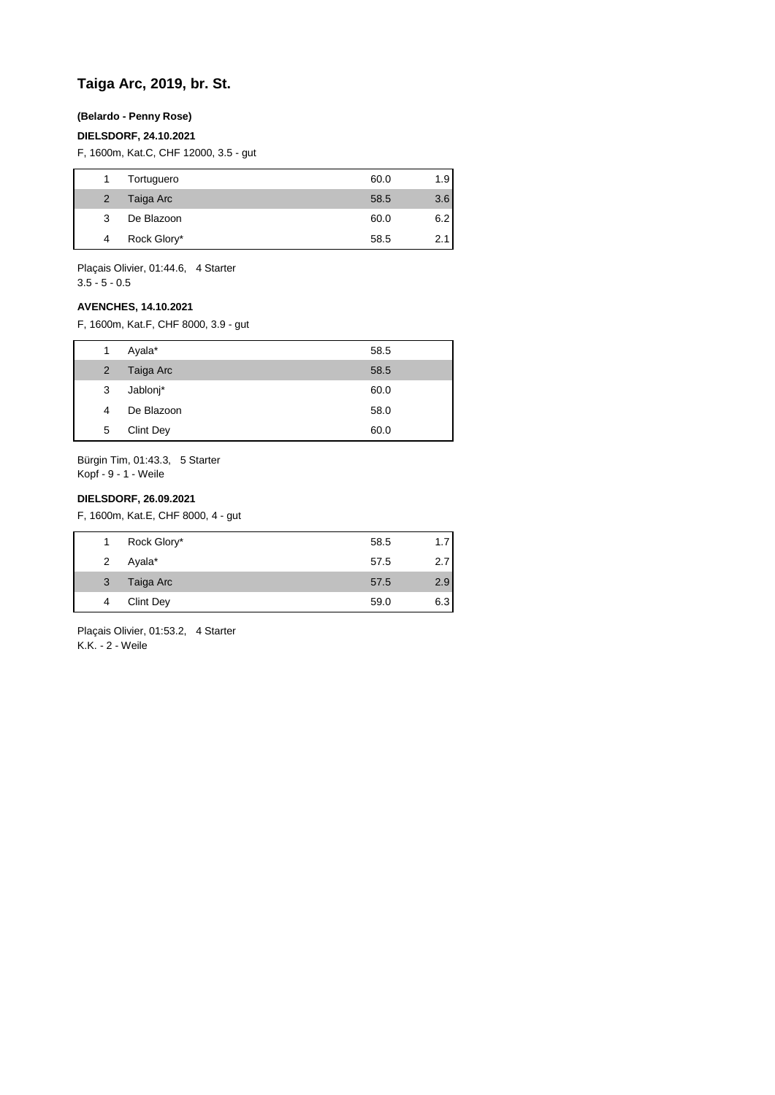## **Taiga Arc, 2019, br. St.**

### **(Belardo - Penny Rose)**

#### **DIELSDORF, 24.10.2021**

F, 1600m, Kat.C, CHF 12000, 3.5 - gut

|                | Tortuguero  | 60.0 | 1.9 <sub>1</sub> |
|----------------|-------------|------|------------------|
| $\overline{2}$ | Taiga Arc   | 58.5 | 3.6              |
| 3              | De Blazoon  | 60.0 | 6.2              |
| 4              | Rock Glory* | 58.5 | 2.1              |

Plaçais Olivier, 01:44.6, 4 Starter  $3.5 - 5 - 0.5$ 

### **AVENCHES, 14.10.2021**

F, 1600m, Kat.F, CHF 8000, 3.9 - gut

| 1              | Ayala*     | 58.5 |
|----------------|------------|------|
| $\overline{2}$ | Taiga Arc  | 58.5 |
| 3              | Jablonj*   | 60.0 |
| 4              | De Blazoon | 58.0 |
| 5              | Clint Dey  | 60.0 |

Bürgin Tim, 01:43.3, 5 Starter Kopf - 9 - 1 - Weile

### **DIELSDORF, 26.09.2021**

F, 1600m, Kat.E, CHF 8000, 4 - gut

|                | Rock Glory* | 58.5 |      |
|----------------|-------------|------|------|
| $\overline{2}$ | Ayala*      | 57.5 | 2.71 |
| 3              | Taiga Arc   | 57.5 | 2.9  |
| 4              | Clint Dey   | 59.0 | 6.3  |

Plaçais Olivier, 01:53.2, 4 Starter K.K. - 2 - Weile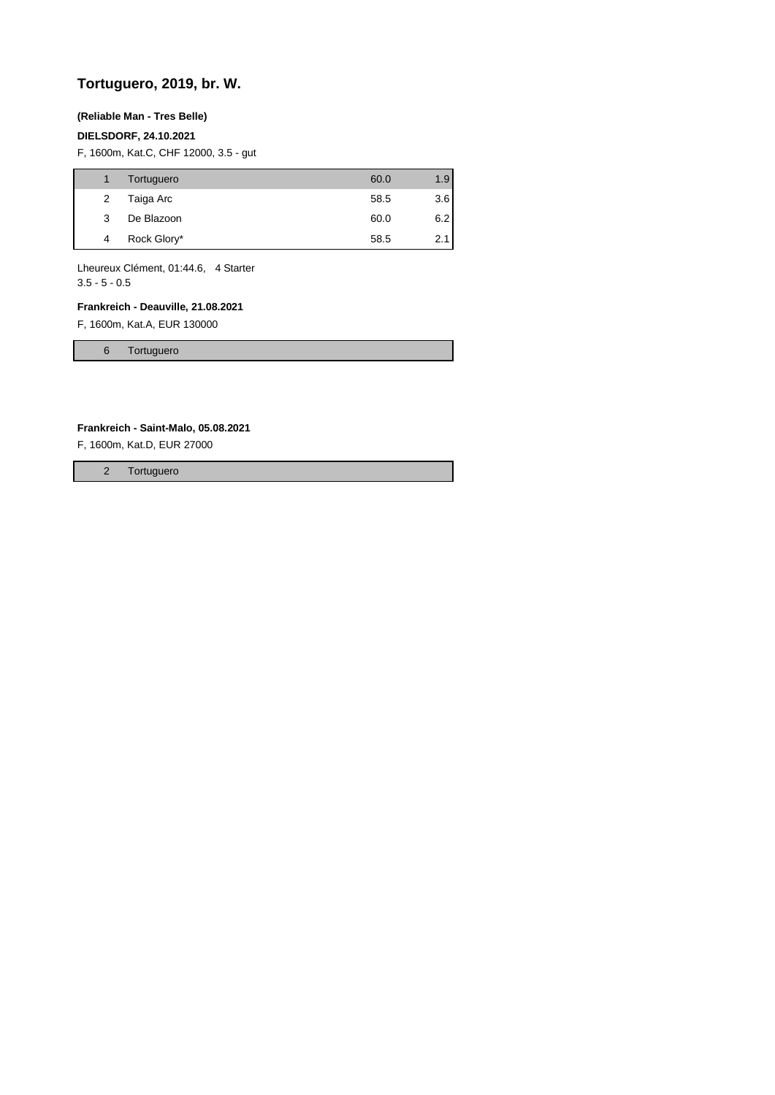# **Tortuguero, 2019, br. W.**

### **(Reliable Man - Tres Belle)**

### **DIELSDORF, 24.10.2021**

F, 1600m, Kat.C, CHF 12000, 3.5 - gut

|   | Tortuguero  | 60.0 | 1.9 |
|---|-------------|------|-----|
| 2 | Taiga Arc   | 58.5 | 3.6 |
| 3 | De Blazoon  | 60.0 | 6.2 |
| 4 | Rock Glory* | 58.5 | 2.1 |

Lheureux Clément, 01:44.6, 4 Starter 3.5 - 5 - 0.5

## **Frankreich - Deauville, 21.08.2021**

F, 1600m, Kat.A, EUR 130000

6 Tortuguero

#### **Frankreich - Saint-Malo, 05.08.2021**

F, 1600m, Kat.D, EUR 27000

2 Tortuguero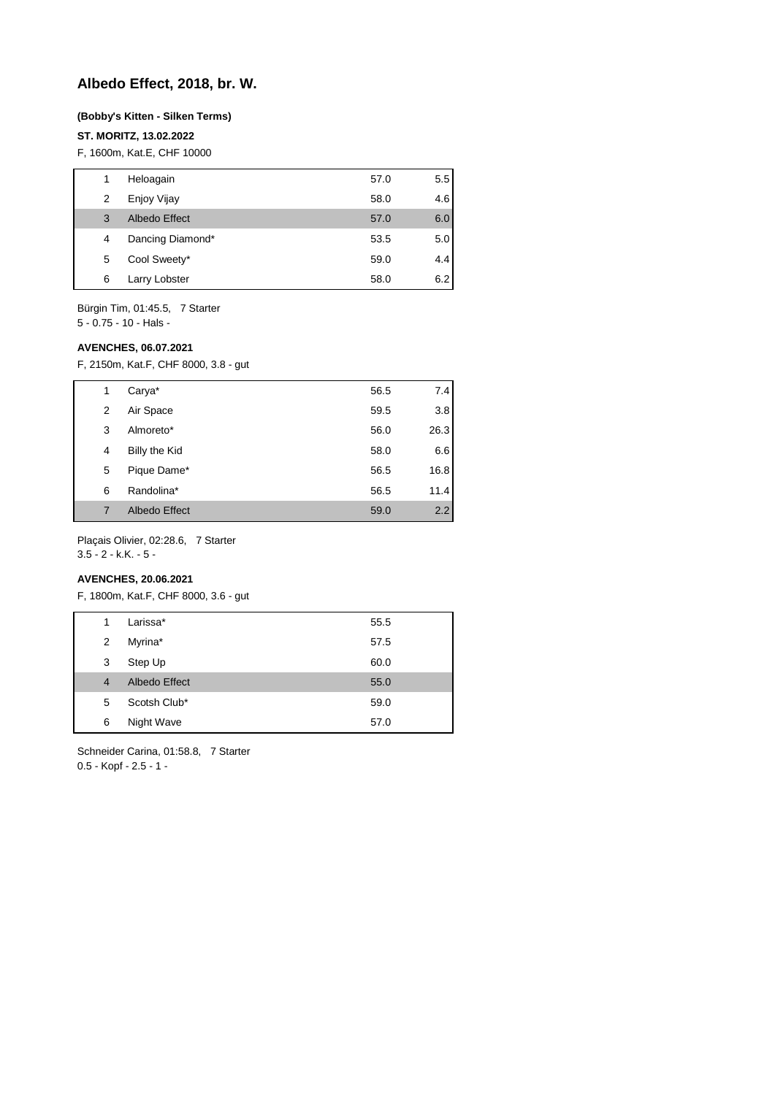## **Albedo Effect, 2018, br. W.**

#### **(Bobby's Kitten - Silken Terms)**

#### **ST. MORITZ, 13.02.2022**

F, 1600m, Kat.E, CHF 10000

| 1 | Heloagain        | 57.0 | 5.5 |
|---|------------------|------|-----|
| 2 | Enjoy Vijay      | 58.0 | 4.6 |
| 3 | Albedo Effect    | 57.0 | 6.0 |
| 4 | Dancing Diamond* | 53.5 | 5.0 |
| 5 | Cool Sweety*     | 59.0 | 4.4 |
| 6 | Larry Lobster    | 58.0 | 6.2 |

Bürgin Tim, 01:45.5, 7 Starter 5 - 0.75 - 10 - Hals -

#### **AVENCHES, 06.07.2021**

F, 2150m, Kat.F, CHF 8000, 3.8 - gut

| 1 | Carya*               | 56.5 | 7.4  |
|---|----------------------|------|------|
| 2 | Air Space            | 59.5 | 3.8  |
| 3 | Almoreto*            | 56.0 | 26.3 |
| 4 | Billy the Kid        | 58.0 | 6.6  |
| 5 | Pique Dame*          | 56.5 | 16.8 |
| 6 | Randolina*           | 56.5 | 11.4 |
| 7 | <b>Albedo Effect</b> | 59.0 | 2.2  |

Plaçais Olivier, 02:28.6, 7 Starter  $3.5 - 2 - k.K. - 5 -$ 

### **AVENCHES, 20.06.2021**

F, 1800m, Kat.F, CHF 8000, 3.6 - gut

| 1              | Larissa*      | 55.5 |
|----------------|---------------|------|
| 2              | Myrina*       | 57.5 |
| 3              | Step Up       | 60.0 |
| $\overline{4}$ | Albedo Effect | 55.0 |
| 5              | Scotsh Club*  | 59.0 |
| 6              | Night Wave    | 57.0 |

Schneider Carina, 01:58.8, 7 Starter 0.5 - Kopf - 2.5 - 1 -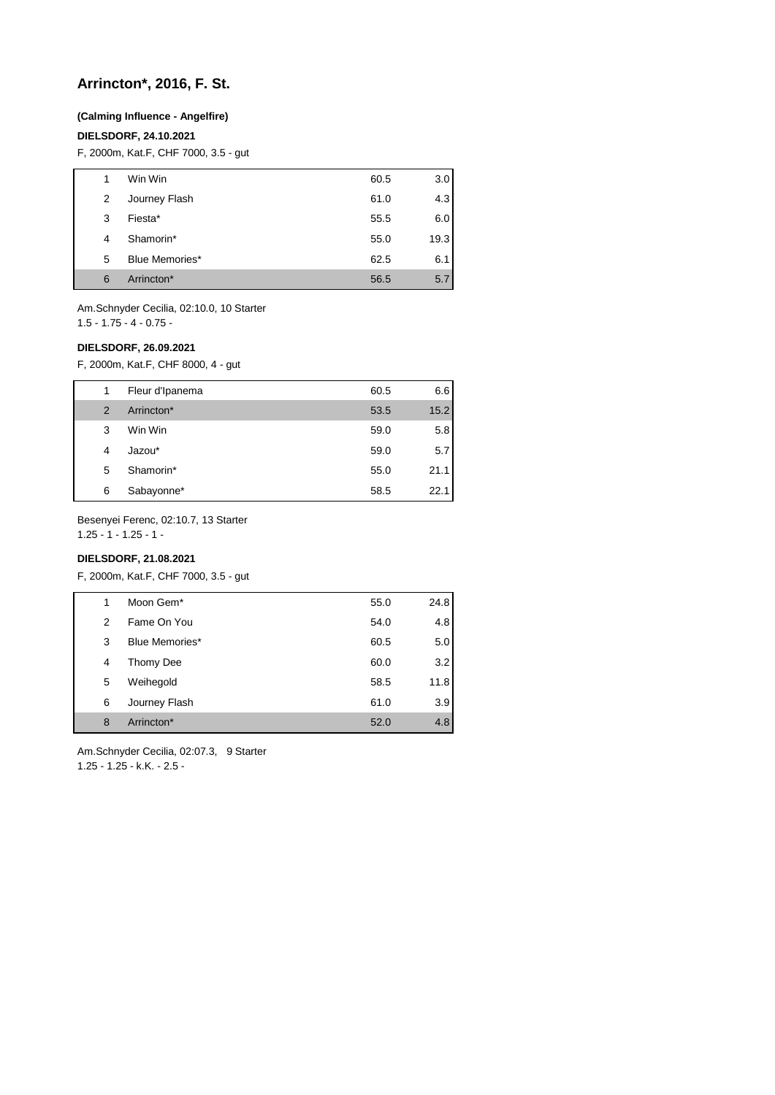## **Arrincton\*, 2016, F. St.**

#### **(Calming Influence - Angelfire)**

#### **DIELSDORF, 24.10.2021**

F, 2000m, Kat.F, CHF 7000, 3.5 - gut

| 1 | Win Win               | 60.5 | 3.0  |
|---|-----------------------|------|------|
| 2 | Journey Flash         | 61.0 | 4.3  |
| 3 | Fiesta*               | 55.5 | 6.0  |
| 4 | Shamorin*             | 55.0 | 19.3 |
| 5 | <b>Blue Memories*</b> | 62.5 | 6.1  |
| 6 | Arrincton*            | 56.5 | 5.7  |

Am.Schnyder Cecilia, 02:10.0, 10 Starter 1.5 - 1.75 - 4 - 0.75 -

#### **DIELSDORF, 26.09.2021**

F, 2000m, Kat.F, CHF 8000, 4 - gut

| 1 | Fleur d'Ipanema | 60.5 | 6.6  |
|---|-----------------|------|------|
| 2 | Arrincton*      | 53.5 | 15.2 |
| 3 | Win Win         | 59.0 | 5.8  |
| 4 | Jazou*          | 59.0 | 5.7  |
| 5 | Shamorin*       | 55.0 | 21.1 |
| 6 | Sabayonne*      | 58.5 | 22.1 |

Besenyei Ferenc, 02:10.7, 13 Starter

 $1.25 - 1 - 1.25 - 1$ 

## **DIELSDORF, 21.08.2021**

F, 2000m, Kat.F, CHF 7000, 3.5 - gut

| 1 | Moon Gem*      | 55.0 | 24.8 |
|---|----------------|------|------|
| 2 | Fame On You    | 54.0 | 4.8  |
| 3 | Blue Memories* | 60.5 | 5.0  |
| 4 | Thomy Dee      | 60.0 | 3.2  |
| 5 | Weihegold      | 58.5 | 11.8 |
| 6 | Journey Flash  | 61.0 | 3.9  |
| 8 | Arrincton*     | 52.0 | 4.8  |
|   |                |      |      |

Am.Schnyder Cecilia, 02:07.3, 9 Starter 1.25 - 1.25 - k.K. - 2.5 -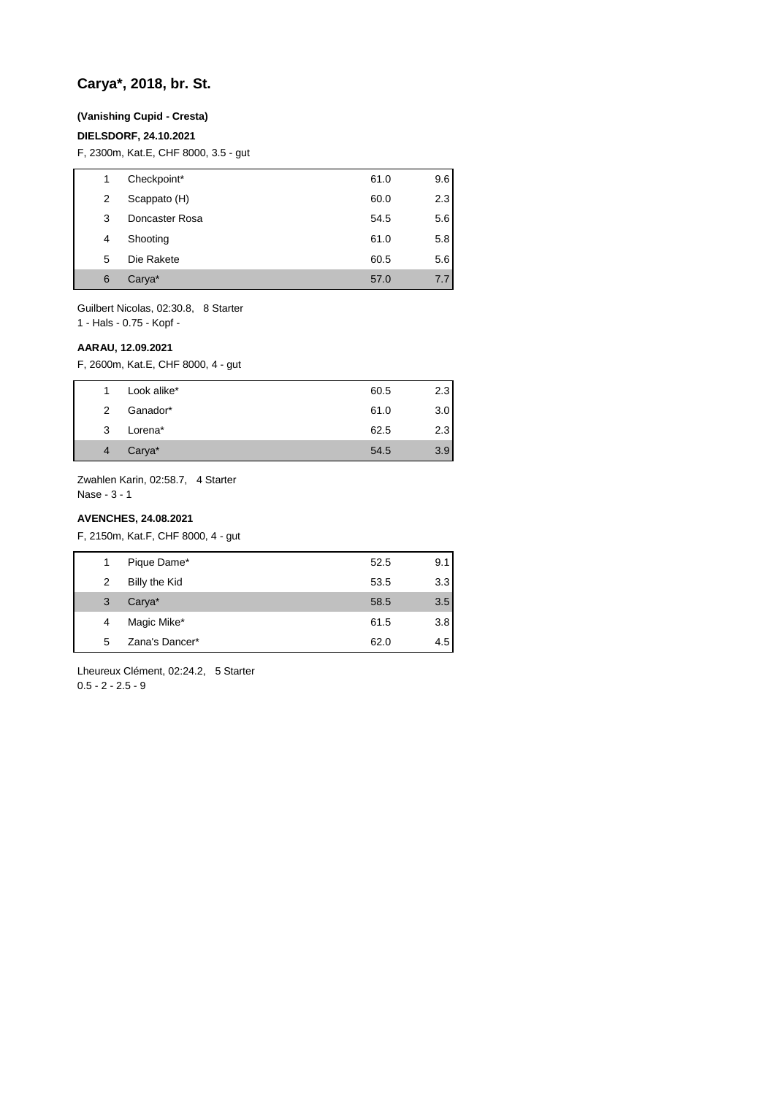## **Carya\*, 2018, br. St.**

#### **(Vanishing Cupid - Cresta)**

### **DIELSDORF, 24.10.2021**

F, 2300m, Kat.E, CHF 8000, 3.5 - gut

| 1 | Checkpoint*    | 61.0 | 9.6 |
|---|----------------|------|-----|
| 2 | Scappato (H)   | 60.0 | 2.3 |
| 3 | Doncaster Rosa | 54.5 | 5.6 |
| 4 | Shooting       | 61.0 | 5.8 |
| 5 | Die Rakete     | 60.5 | 5.6 |
| 6 | Carya*         | 57.0 | 7.7 |

Guilbert Nicolas, 02:30.8, 8 Starter

1 - Hals - 0.75 - Kopf -

#### **AARAU, 12.09.2021**

F, 2600m, Kat.E, CHF 8000, 4 - gut

|   | Look alike* | 60.5 | 2.3 |
|---|-------------|------|-----|
| 2 | Ganador*    | 61.0 | 3.0 |
| 3 | Lorena*     | 62.5 | 2.3 |
| 4 | Carya*      | 54.5 | 3.9 |

Zwahlen Karin, 02:58.7, 4 Starter

Nase - 3 - 1

#### **AVENCHES, 24.08.2021**

F, 2150m, Kat.F, CHF 8000, 4 - gut

| 1 | Pique Dame*        | 52.5 | 9.1 |
|---|--------------------|------|-----|
| 2 | Billy the Kid      | 53.5 | 3.3 |
| 3 | Carya <sup>*</sup> | 58.5 | 3.5 |
| 4 | Magic Mike*        | 61.5 | 3.8 |
| 5 | Zana's Dancer*     | 62.0 | 4.5 |

Lheureux Clément, 02:24.2, 5 Starter  $0.5 - 2 - 2.5 - 9$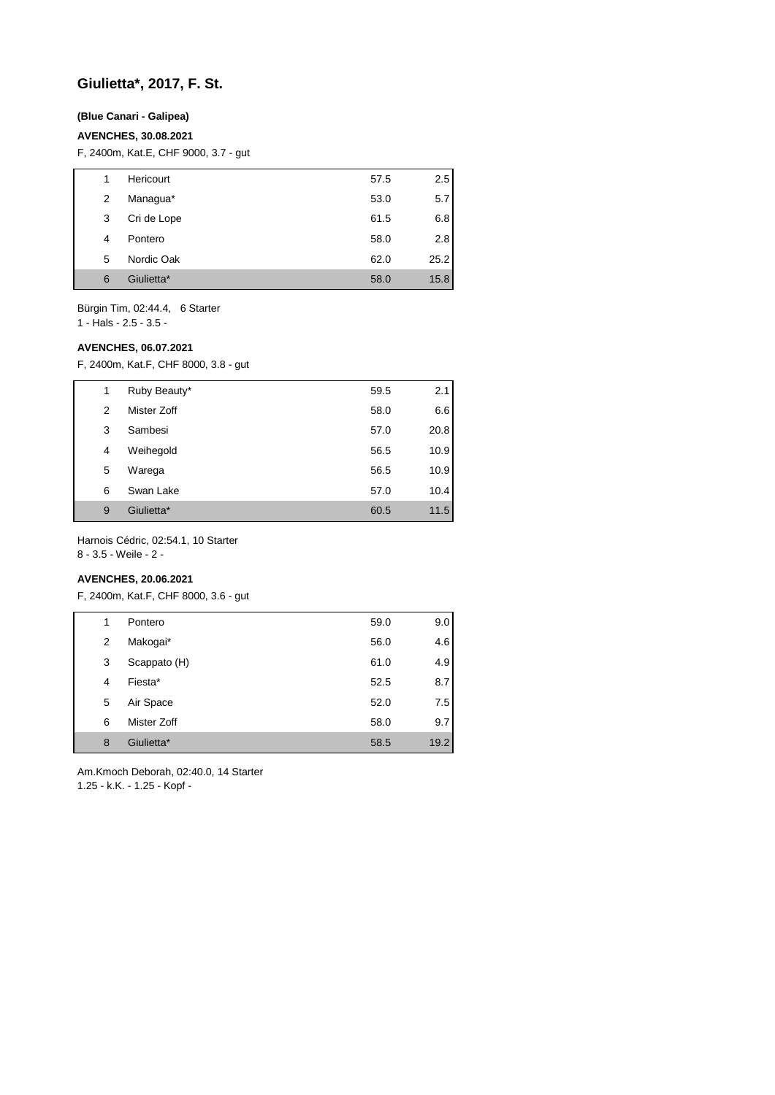## **Giulietta\*, 2017, F. St.**

### **(Blue Canari - Galipea)**

### **AVENCHES, 30.08.2021**

F, 2400m, Kat.E, CHF 9000, 3.7 - gut

| 1 | Hericourt   | 57.5 | 2.5  |
|---|-------------|------|------|
| 2 | Managua*    | 53.0 | 5.7  |
| 3 | Cri de Lope | 61.5 | 6.8  |
| 4 | Pontero     | 58.0 | 2.8  |
| 5 | Nordic Oak  | 62.0 | 25.2 |
| 6 | Giulietta*  | 58.0 | 15.8 |

Bürgin Tim, 02:44.4, 6 Starter

1 - Hals - 2.5 - 3.5 -

#### **AVENCHES, 06.07.2021**

F, 2400m, Kat.F, CHF 8000, 3.8 - gut

| 1 | Ruby Beauty* | 59.5 | 2.1  |
|---|--------------|------|------|
| 2 | Mister Zoff  | 58.0 | 6.6  |
| 3 | Sambesi      | 57.0 | 20.8 |
| 4 | Weihegold    | 56.5 | 10.9 |
| 5 | Warega       | 56.5 | 10.9 |
| 6 | Swan Lake    | 57.0 | 10.4 |
| 9 | Giulietta*   | 60.5 | 11.5 |

Harnois Cédric, 02:54.1, 10 Starter

8 - 3.5 - Weile - 2 -

## **AVENCHES, 20.06.2021**

F, 2400m, Kat.F, CHF 8000, 3.6 - gut

| 1 | Pontero      | 59.0 | 9.0  |
|---|--------------|------|------|
| 2 | Makogai*     | 56.0 | 4.6  |
| 3 | Scappato (H) | 61.0 | 4.9  |
| 4 | Fiesta*      | 52.5 | 8.7  |
| 5 | Air Space    | 52.0 | 7.5  |
| 6 | Mister Zoff  | 58.0 | 9.7  |
| 8 | Giulietta*   | 58.5 | 19.2 |

Am.Kmoch Deborah, 02:40.0, 14 Starter 1.25 - k.K. - 1.25 - Kopf -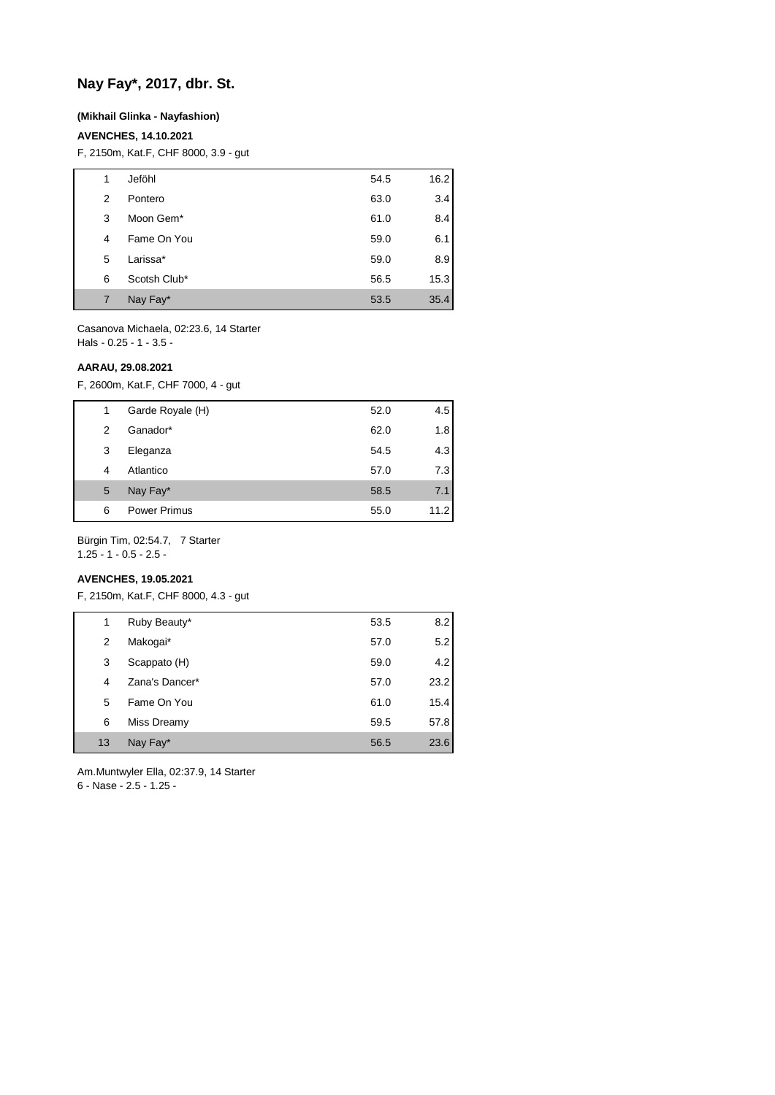# **Nay Fay\*, 2017, dbr. St.**

#### **(Mikhail Glinka - Nayfashion)**

### **AVENCHES, 14.10.2021**

F, 2150m, Kat.F, CHF 8000, 3.9 - gut

| 1 | Jeföhl       | 54.5 | 16.2 |
|---|--------------|------|------|
| 2 | Pontero      | 63.0 | 3.4  |
| 3 | Moon Gem*    | 61.0 | 8.4  |
| 4 | Fame On You  | 59.0 | 6.1  |
| 5 | Larissa*     | 59.0 | 8.9  |
| 6 | Scotsh Club* | 56.5 | 15.3 |
| 7 | Nay Fay*     | 53.5 | 35.4 |

Casanova Michaela, 02:23.6, 14 Starter Hals - 0.25 - 1 - 3.5 -

#### **AARAU, 29.08.2021**

F, 2600m, Kat.F, CHF 7000, 4 - gut

| 1 | Garde Royale (H)    | 52.0 | 4.5  |
|---|---------------------|------|------|
| 2 | Ganador*            | 62.0 | 1.8  |
| 3 | Eleganza            | 54.5 | 4.3  |
| 4 | Atlantico           | 57.0 | 7.3  |
| 5 | Nay Fay*            | 58.5 | 7.1  |
| 6 | <b>Power Primus</b> | 55.0 | 11.2 |

Bürgin Tim, 02:54.7, 7 Starter

1.25 - 1 - 0.5 - 2.5 -

## **AVENCHES, 19.05.2021**

F, 2150m, Kat.F, CHF 8000, 4.3 - gut

| 1  | Ruby Beauty*   | 53.5 | 8.2  |
|----|----------------|------|------|
| 2  | Makogai*       | 57.0 | 5.2  |
| 3  | Scappato (H)   | 59.0 | 4.2  |
| 4  | Zana's Dancer* | 57.0 | 23.2 |
| 5  | Fame On You    | 61.0 | 15.4 |
| 6  | Miss Dreamy    | 59.5 | 57.8 |
| 13 | Nay Fay*       | 56.5 | 23.6 |

Am.Muntwyler Ella, 02:37.9, 14 Starter

6 - Nase - 2.5 - 1.25 -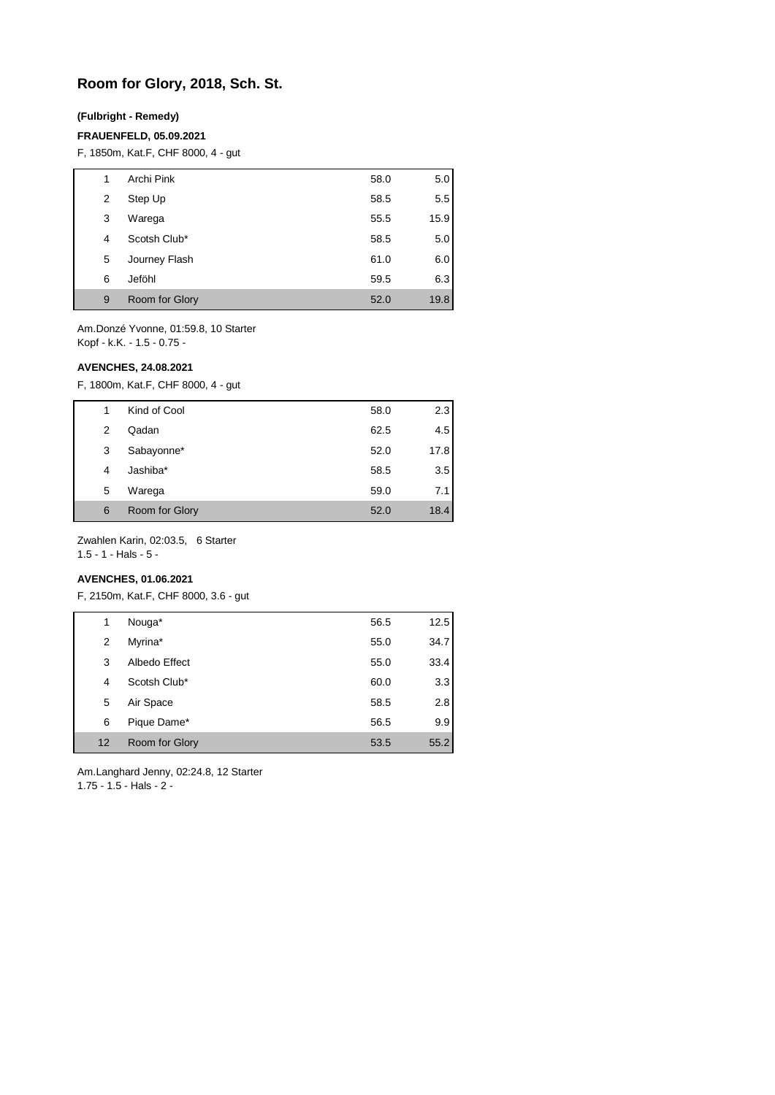## **Room for Glory, 2018, Sch. St.**

#### **(Fulbright - Remedy)**

#### **FRAUENFELD, 05.09.2021**

F, 1850m, Kat.F, CHF 8000, 4 - gut

| 1 |   | Archi Pink     | 58.0 | 5.0  |
|---|---|----------------|------|------|
|   | 2 | Step Up        | 58.5 | 5.5  |
|   | 3 | Warega         | 55.5 | 15.9 |
|   | 4 | Scotsh Club*   | 58.5 | 5.0  |
|   | 5 | Journey Flash  | 61.0 | 6.0  |
|   | 6 | Jeföhl         | 59.5 | 6.3  |
|   | 9 | Room for Glory | 52.0 | 19.8 |

Am.Donzé Yvonne, 01:59.8, 10 Starter Kopf - k.K. - 1.5 - 0.75 -

### **AVENCHES, 24.08.2021**

F, 1800m, Kat.F, CHF 8000, 4 - gut

| 1 | Kind of Cool   | 58.0 | 2.3  |
|---|----------------|------|------|
| 2 | Qadan          | 62.5 | 4.5  |
| 3 | Sabayonne*     | 52.0 | 17.8 |
| 4 | Jashiba*       | 58.5 | 3.5  |
| 5 | Warega         | 59.0 | 7.1  |
| 6 | Room for Glory | 52.0 | 18.4 |

Zwahlen Karin, 02:03.5, 6 Starter

1.5 - 1 - Hals - 5 -

## **AVENCHES, 01.06.2021**

F, 2150m, Kat.F, CHF 8000, 3.6 - gut

| 1  | Nouga*         | 56.5 | 12.5 |
|----|----------------|------|------|
| 2  | Myrina*        | 55.0 | 34.7 |
| 3  | Albedo Effect  | 55.0 | 33.4 |
| 4  | Scotsh Club*   | 60.0 | 3.3  |
| 5  | Air Space      | 58.5 | 2.8  |
| 6  | Pique Dame*    | 56.5 | 9.9  |
| 12 | Room for Glory | 53.5 | 55.2 |

Am.Langhard Jenny, 02:24.8, 12 Starter 1.75 - 1.5 - Hals - 2 -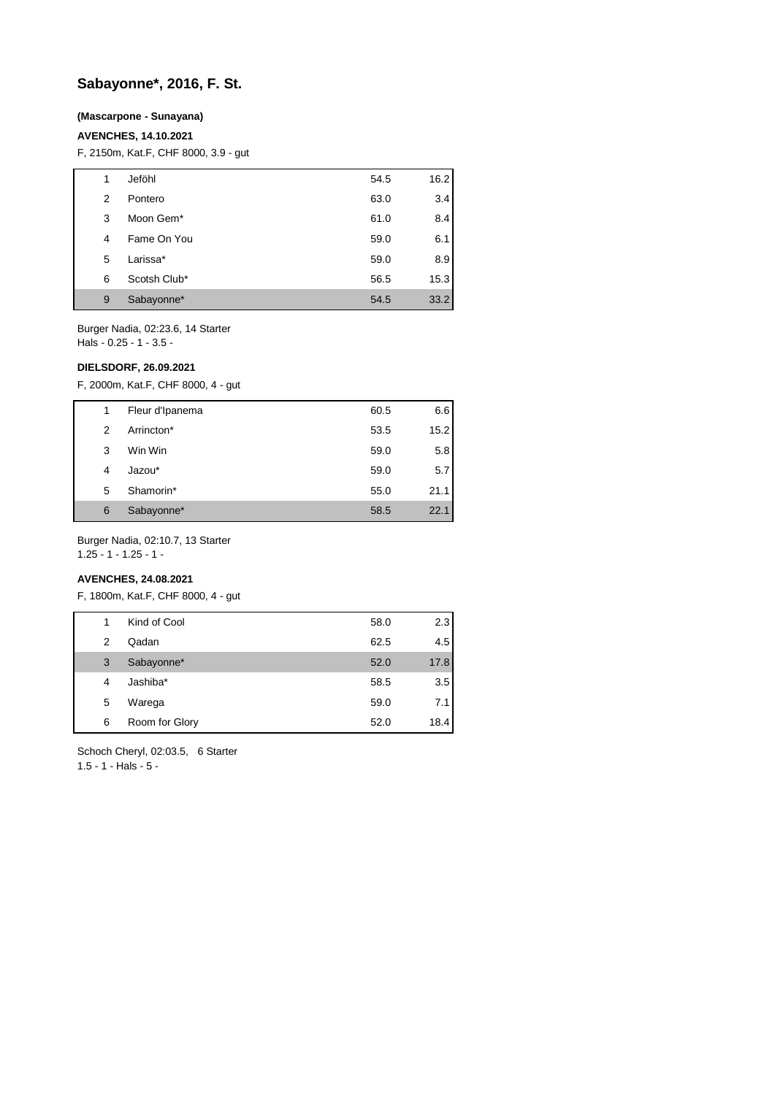## **Sabayonne\*, 2016, F. St.**

### **(Mascarpone - Sunayana)**

#### **AVENCHES, 14.10.2021**

F, 2150m, Kat.F, CHF 8000, 3.9 - gut

| 1 | Jeföhl       | 54.5 | 16.2 |
|---|--------------|------|------|
| 2 | Pontero      | 63.0 | 3.4  |
| 3 | Moon Gem*    | 61.0 | 8.4  |
| 4 | Fame On You  | 59.0 | 6.1  |
| 5 | Larissa*     | 59.0 | 8.9  |
| 6 | Scotsh Club* | 56.5 | 15.3 |
| 9 | Sabayonne*   | 54.5 | 33.2 |

Burger Nadia, 02:23.6, 14 Starter Hals - 0.25 - 1 - 3.5 -

### **DIELSDORF, 26.09.2021**

F, 2000m, Kat.F, CHF 8000, 4 - gut

| 1 | Fleur d'Ipanema | 60.5 | 6.6  |
|---|-----------------|------|------|
| 2 | Arrincton*      | 53.5 | 15.2 |
| 3 | Win Win         | 59.0 | 5.8  |
| 4 | Jazou*          | 59.0 | 5.7  |
| 5 | Shamorin*       | 55.0 | 21.1 |
| 6 | Sabayonne*      | 58.5 | 22.1 |

Burger Nadia, 02:10.7, 13 Starter

1.25 - 1 - 1.25 - 1 -

## **AVENCHES, 24.08.2021**

F, 1800m, Kat.F, CHF 8000, 4 - gut

| 1 | Kind of Cool   | 58.0 | 2.3  |
|---|----------------|------|------|
| 2 | Qadan          | 62.5 | 4.5  |
| 3 | Sabayonne*     | 52.0 | 17.8 |
| 4 | Jashiba*       | 58.5 | 3.5  |
| 5 | Warega         | 59.0 | 7.1  |
| 6 | Room for Glory | 52.0 | 18.4 |

Schoch Cheryl, 02:03.5, 6 Starter

 $1.5 - 1 -$  Hals  $-5 -$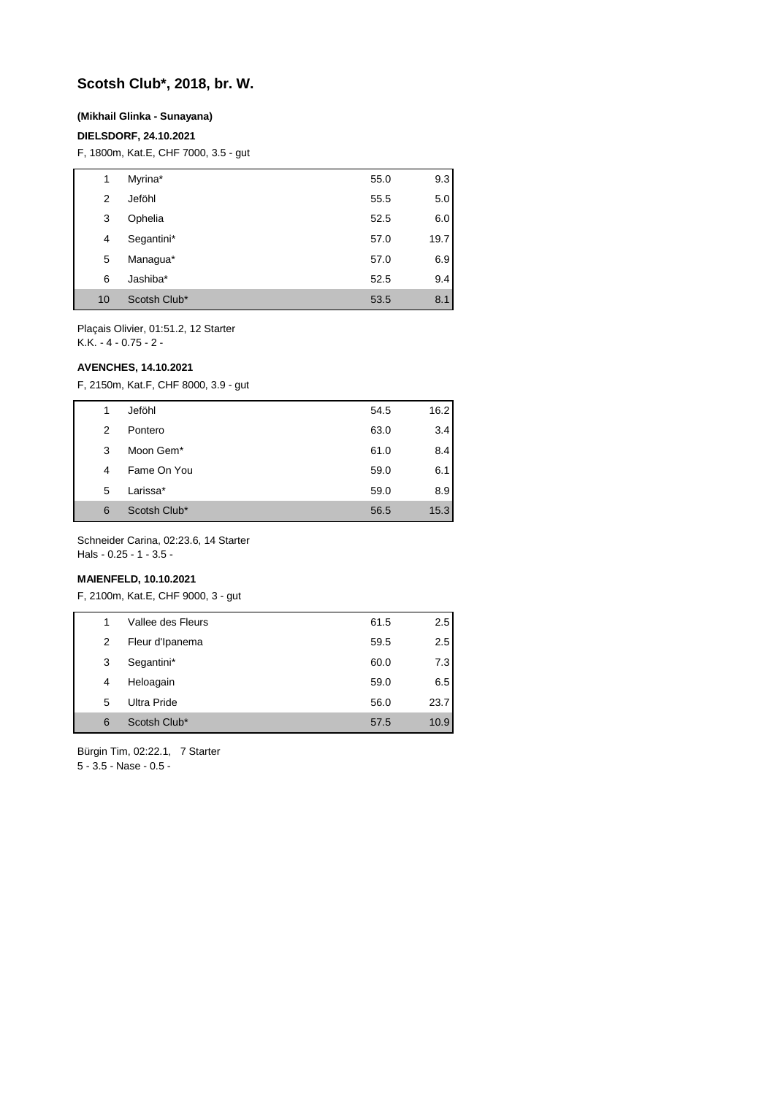## **Scotsh Club\*, 2018, br. W.**

### **(Mikhail Glinka - Sunayana)**

### **DIELSDORF, 24.10.2021**

F, 1800m, Kat.E, CHF 7000, 3.5 - gut

| 1  | Myrina*      | 55.0 | 9.3  |
|----|--------------|------|------|
| 2  | Jeföhl       | 55.5 | 5.0  |
| 3  | Ophelia      | 52.5 | 6.0  |
| 4  | Segantini*   | 57.0 | 19.7 |
| 5  | Managua*     | 57.0 | 6.9  |
| 6  | Jashiba*     | 52.5 | 9.4  |
| 10 | Scotsh Club* | 53.5 | 8.1  |

Plaçais Olivier, 01:51.2, 12 Starter K.K. - 4 - 0.75 - 2 -

#### **AVENCHES, 14.10.2021**

F, 2150m, Kat.F, CHF 8000, 3.9 - gut

| 1 |   | Jeföhl       | 54.5 | 16.2 |
|---|---|--------------|------|------|
|   | 2 | Pontero      | 63.0 | 3.4  |
| 3 |   | Moon Gem*    | 61.0 | 8.4  |
| 4 |   | Fame On You  | 59.0 | 6.1  |
|   | 5 | Larissa*     | 59.0 | 8.9  |
| 6 |   | Scotsh Club* | 56.5 | 15.3 |

Schneider Carina, 02:23.6, 14 Starter Hals - 0.25 - 1 - 3.5 -

### **MAIENFELD, 10.10.2021**

F, 2100m, Kat.E, CHF 9000, 3 - gut

| 1 | Vallee des Fleurs | 61.5 | 2.5  |
|---|-------------------|------|------|
| 2 | Fleur d'Ipanema   | 59.5 | 2.5  |
| 3 | Segantini*        | 60.0 | 7.3  |
| 4 | Heloagain         | 59.0 | 6.5  |
| 5 | Ultra Pride       | 56.0 | 23.7 |
| 6 | Scotsh Club*      | 57.5 | 10.9 |

Bürgin Tim, 02:22.1, 7 Starter 5 - 3.5 - Nase - 0.5 -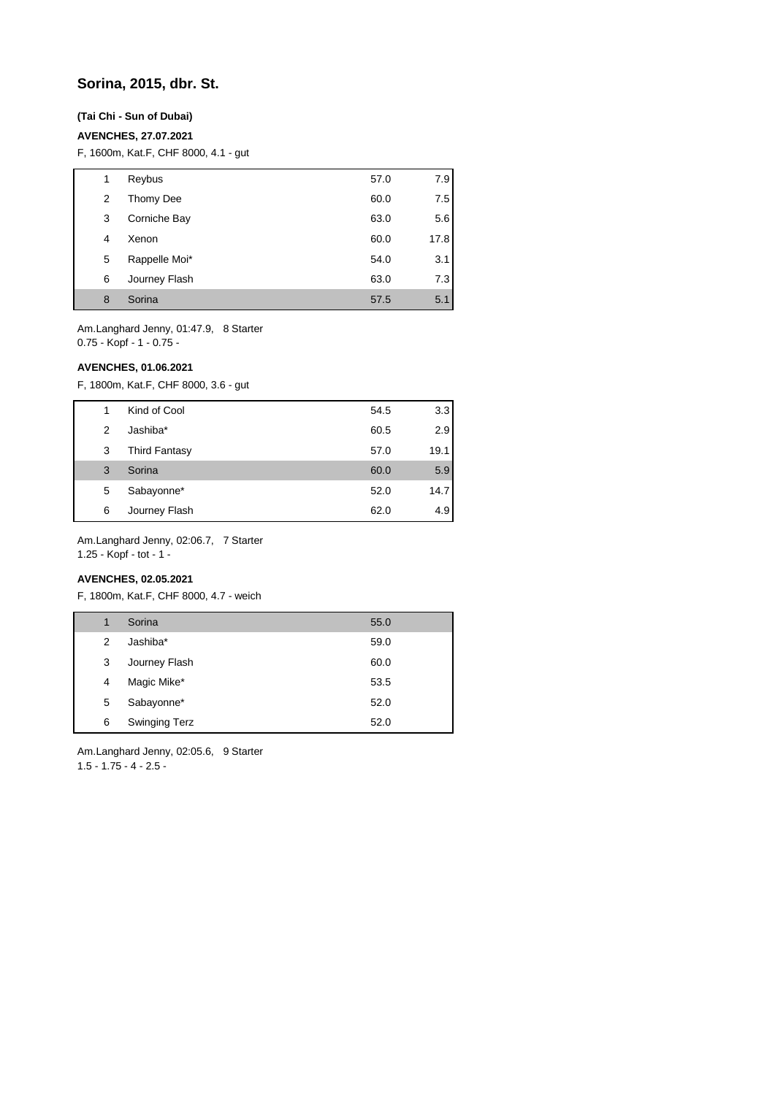## **Sorina, 2015, dbr. St.**

### **(Tai Chi - Sun of Dubai)**

#### **AVENCHES, 27.07.2021**

F, 1600m, Kat.F, CHF 8000, 4.1 - gut

| 1 | Reybus        | 57.0 | 7.9  |
|---|---------------|------|------|
| 2 | Thomy Dee     | 60.0 | 7.5  |
| 3 | Corniche Bay  | 63.0 | 5.6  |
| 4 | Xenon         | 60.0 | 17.8 |
| 5 | Rappelle Moi* | 54.0 | 3.1  |
| 6 | Journey Flash | 63.0 | 7.3  |
| 8 | Sorina        | 57.5 | 5.1  |

Am.Langhard Jenny, 01:47.9, 8 Starter 0.75 - Kopf - 1 - 0.75 -

#### **AVENCHES, 01.06.2021**

F, 1800m, Kat.F, CHF 8000, 3.6 - gut

| 1 | Kind of Cool         | 54.5 | 3.3  |
|---|----------------------|------|------|
| 2 | Jashiba*             | 60.5 | 2.9  |
| 3 | <b>Third Fantasy</b> | 57.0 | 19.1 |
| 3 | Sorina               | 60.0 | 5.9  |
| 5 | Sabayonne*           | 52.0 | 14.7 |
| 6 | Journey Flash        | 62.0 | 4.9  |

Am.Langhard Jenny, 02:06.7, 7 Starter 1.25 - Kopf - tot - 1 -

#### **AVENCHES, 02.05.2021**

F, 1800m, Kat.F, CHF 8000, 4.7 - weich

| 1 | Sorina               | 55.0 |
|---|----------------------|------|
| 2 | Jashiba*             | 59.0 |
| 3 | Journey Flash        | 60.0 |
| 4 | Magic Mike*          | 53.5 |
| 5 | Sabayonne*           | 52.0 |
| 6 | <b>Swinging Terz</b> | 52.0 |

Am.Langhard Jenny, 02:05.6, 9 Starter 1.5 - 1.75 - 4 - 2.5 -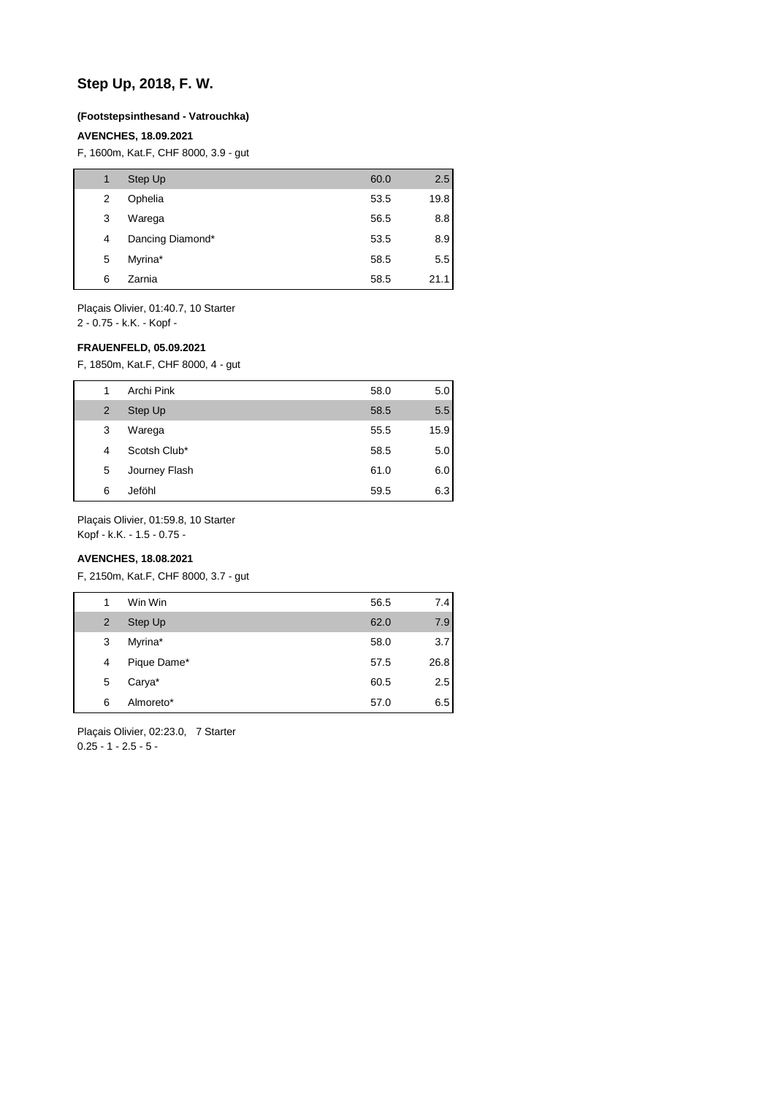## **Step Up, 2018, F. W.**

#### **(Footstepsinthesand - Vatrouchka)**

#### **AVENCHES, 18.09.2021**

F, 1600m, Kat.F, CHF 8000, 3.9 - gut

| 1 | Step Up          | 60.0 | 2.5  |
|---|------------------|------|------|
| 2 | Ophelia          | 53.5 | 19.8 |
| 3 | Warega           | 56.5 | 8.8  |
| 4 | Dancing Diamond* | 53.5 | 8.9  |
| 5 | Myrina*          | 58.5 | 5.5  |
| 6 | Zarnia           | 58.5 | 21.1 |

Plaçais Olivier, 01:40.7, 10 Starter

2 - 0.75 - k.K. - Kopf -

### **FRAUENFELD, 05.09.2021**

F, 1850m, Kat.F, CHF 8000, 4 - gut

| 1 | Archi Pink    | 58.0 | 5.0  |
|---|---------------|------|------|
| 2 | Step Up       | 58.5 | 5.5  |
| 3 | Warega        | 55.5 | 15.9 |
| 4 | Scotsh Club*  | 58.5 | 5.0  |
| 5 | Journey Flash | 61.0 | 6.0  |
| 6 | Jeföhl        | 59.5 | 6.3  |

Plaçais Olivier, 01:59.8, 10 Starter

Kopf - k.K. - 1.5 - 0.75 -

## **AVENCHES, 18.08.2021**

F, 2150m, Kat.F, CHF 8000, 3.7 - gut

| 1              | Win Win     | 56.5 | 7.4     |
|----------------|-------------|------|---------|
| $\overline{2}$ | Step Up     | 62.0 | 7.9     |
| 3              | Myrina*     | 58.0 | 3.7     |
| 4              | Pique Dame* | 57.5 | 26.8    |
| 5              | Carya*      | 60.5 | $2.5\,$ |
| 6              | Almoreto*   | 57.0 | 6.5     |

Plaçais Olivier, 02:23.0, 7 Starter  $0.25 - 1 - 2.5 - 5 -$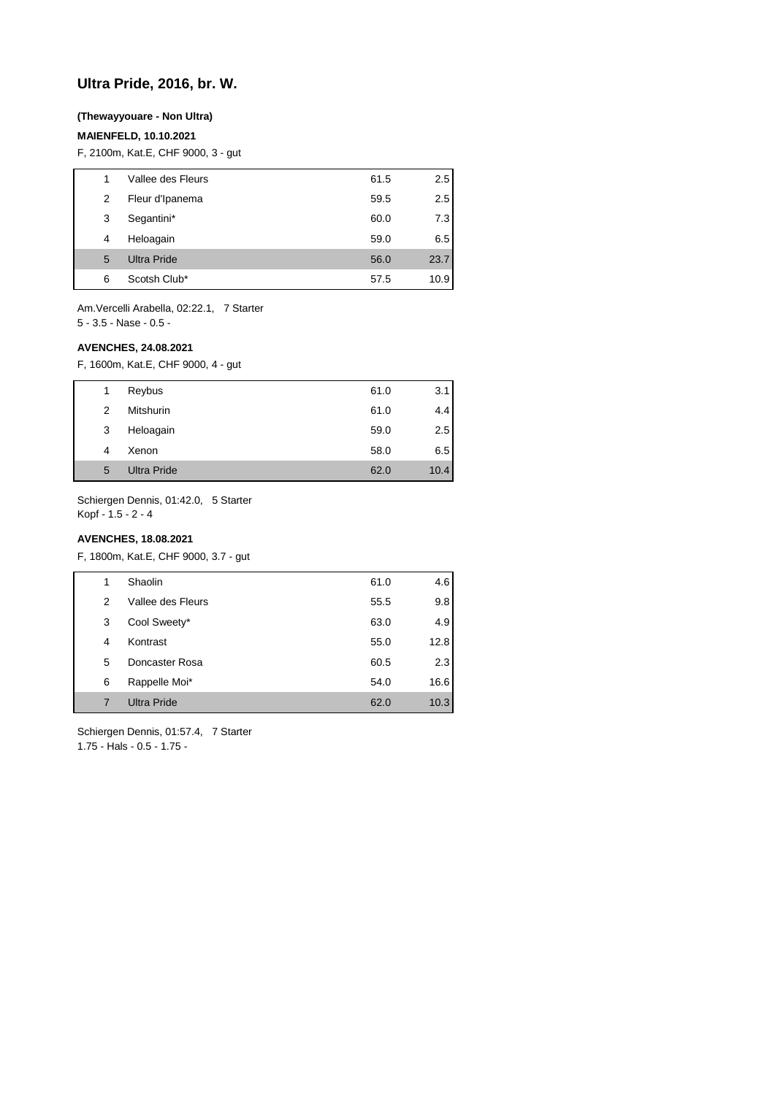## **Ultra Pride, 2016, br. W.**

### **(Thewayyouare - Non Ultra)**

### **MAIENFELD, 10.10.2021**

F, 2100m, Kat.E, CHF 9000, 3 - gut

| 1 | Vallee des Fleurs  | 61.5 | 2.5  |
|---|--------------------|------|------|
| 2 | Fleur d'Ipanema    | 59.5 | 2.5  |
| 3 | Segantini*         | 60.0 | 7.3  |
| 4 | Heloagain          | 59.0 | 6.5  |
| 5 | <b>Ultra Pride</b> | 56.0 | 23.7 |
| 6 | Scotsh Club*       | 57.5 | 10.9 |

Am.Vercelli Arabella, 02:22.1, 7 Starter 5 - 3.5 - Nase - 0.5 -

#### **AVENCHES, 24.08.2021**

F, 1600m, Kat.E, CHF 9000, 4 - gut

| 1 | Reybus             | 61.0 | 3.1  |
|---|--------------------|------|------|
| 2 | Mitshurin          | 61.0 | 4.4  |
| 3 | Heloagain          | 59.0 | 2.5  |
| 4 | Xenon              | 58.0 | 6.5  |
| 5 | <b>Ultra Pride</b> | 62.0 | 10.4 |

Schiergen Dennis, 01:42.0, 5 Starter Kopf - 1.5 - 2 - 4

### **AVENCHES, 18.08.2021**

F, 1800m, Kat.E, CHF 9000, 3.7 - gut

| 1 | Shaolin            | 61.0 | 4.6  |
|---|--------------------|------|------|
| 2 | Vallee des Fleurs  | 55.5 | 9.8  |
| 3 | Cool Sweety*       | 63.0 | 4.9  |
| 4 | Kontrast           | 55.0 | 12.8 |
| 5 | Doncaster Rosa     | 60.5 | 2.3  |
| 6 | Rappelle Moi*      | 54.0 | 16.6 |
| 7 | <b>Ultra Pride</b> | 62.0 | 10.3 |

Schiergen Dennis, 01:57.4, 7 Starter 1.75 - Hals - 0.5 - 1.75 -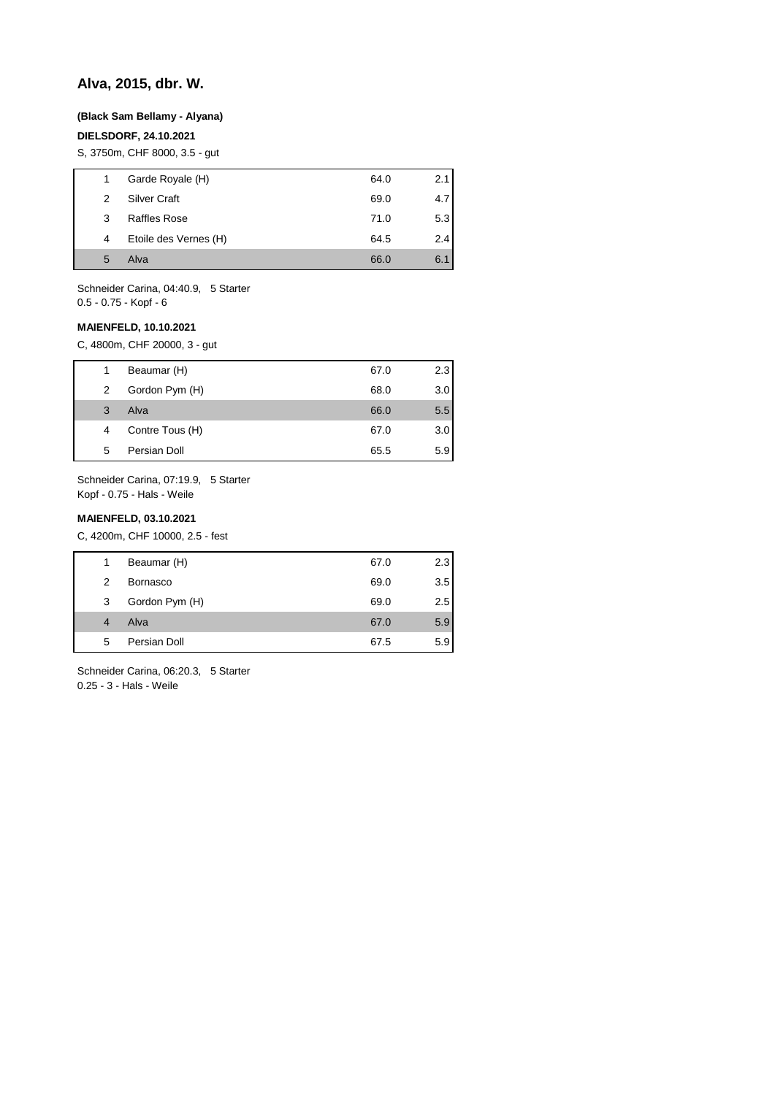## **Alva, 2015, dbr. W.**

#### **(Black Sam Bellamy - Alyana)**

### **DIELSDORF, 24.10.2021**

S, 3750m, CHF 8000, 3.5 - gut

| 1 | Garde Royale (H)      | 64.0 | 2.11 |
|---|-----------------------|------|------|
| 2 | Silver Craft          | 69.0 | 4.71 |
| 3 | Raffles Rose          | 71.0 | 5.31 |
| 4 | Etoile des Vernes (H) | 64.5 | 2.4  |
| 5 | Alva                  | 66.0 | 6.1  |
|   |                       |      |      |

Schneider Carina, 04:40.9, 5 Starter 0.5 - 0.75 - Kopf - 6

#### **MAIENFELD, 10.10.2021**

C, 4800m, CHF 20000, 3 - gut

| 1. | Beaumar (H)     | 67.0 | 2.3 |
|----|-----------------|------|-----|
| 2  | Gordon Pym (H)  | 68.0 | 3.0 |
| 3  | Alva            | 66.0 | 5.5 |
| 4  | Contre Tous (H) | 67.0 | 3.0 |
| 5  | Persian Doll    | 65.5 | 5.9 |

Schneider Carina, 07:19.9, 5 Starter Kopf - 0.75 - Hals - Weile

#### **MAIENFELD, 03.10.2021**

C, 4200m, CHF 10000, 2.5 - fest

| 1 | Beaumar (H)     | 67.0 | 2.3 |
|---|-----------------|------|-----|
| 2 | <b>Bornasco</b> | 69.0 | 3.5 |
| 3 | Gordon Pym (H)  | 69.0 | 2.5 |
| 4 | Alva            | 67.0 | 5.9 |
| 5 | Persian Doll    | 67.5 | 5.9 |
|   |                 |      |     |

Schneider Carina, 06:20.3, 5 Starter 0.25 - 3 - Hals - Weile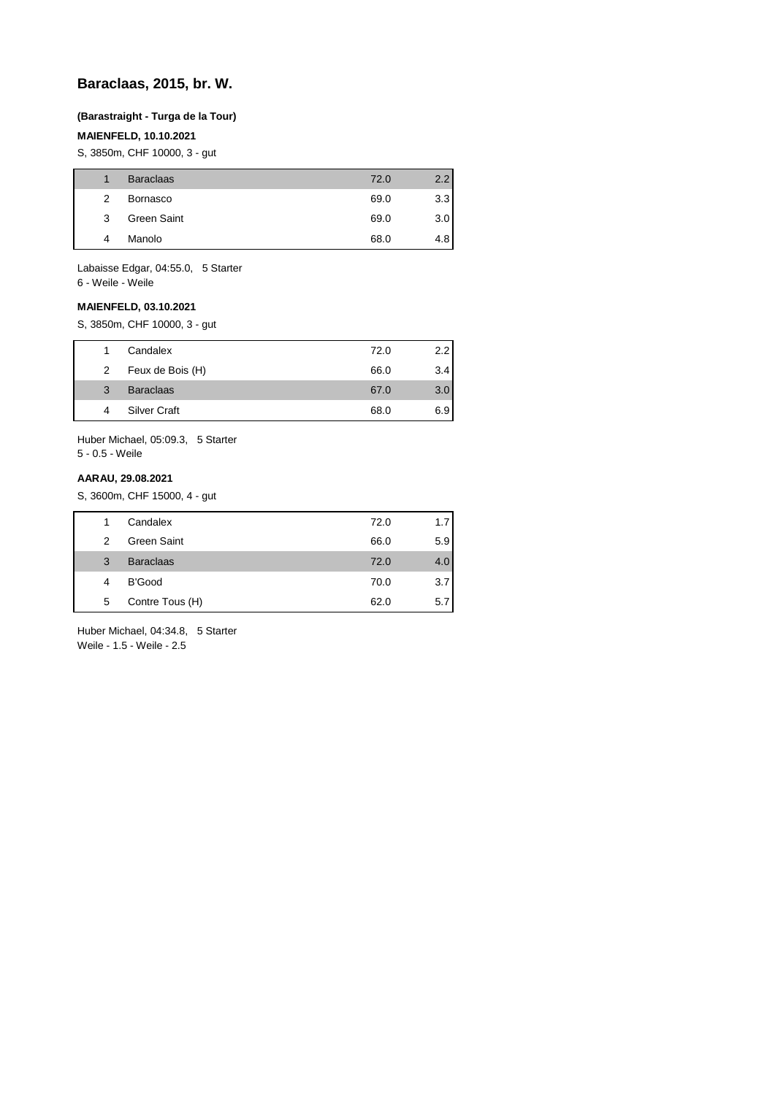## **Baraclaas, 2015, br. W.**

### **(Barastraight - Turga de la Tour)**

### **MAIENFELD, 10.10.2021**

S, 3850m, CHF 10000, 3 - gut

|   | <b>Baraclaas</b> | 72.0 | 2.2 |
|---|------------------|------|-----|
| 2 | Bornasco         | 69.0 | 3.3 |
| 3 | Green Saint      | 69.0 | 3.0 |
| 4 | Manolo           | 68.0 | 4.8 |

Labaisse Edgar, 04:55.0, 5 Starter 6 - Weile - Weile

#### **MAIENFELD, 03.10.2021**

S, 3850m, CHF 10000, 3 - gut

|   | Candalex            | 72.0 | 2.2 |
|---|---------------------|------|-----|
| 2 | Feux de Bois (H)    | 66.0 | 3.4 |
| 3 | <b>Baraclaas</b>    | 67.0 | 3.0 |
| 4 | <b>Silver Craft</b> | 68.0 | 6.9 |
|   |                     |      |     |

Huber Michael, 05:09.3, 5 Starter 5 - 0.5 - Weile

### **AARAU, 29.08.2021**

S, 3600m, CHF 15000, 4 - gut

| Candalex<br>72.0<br>1.7<br>1<br>Green Saint<br>66.0<br>2<br><b>Baraclaas</b><br>72.0<br>3<br>4.0<br>B'Good<br>70.0<br>4<br>Contre Tous (H)<br>62.0<br>5<br>5.7 |  |  |                  |
|----------------------------------------------------------------------------------------------------------------------------------------------------------------|--|--|------------------|
|                                                                                                                                                                |  |  |                  |
|                                                                                                                                                                |  |  | 5.9 <sub>1</sub> |
|                                                                                                                                                                |  |  |                  |
|                                                                                                                                                                |  |  | 3.7              |
|                                                                                                                                                                |  |  |                  |

Huber Michael, 04:34.8, 5 Starter Weile - 1.5 - Weile - 2.5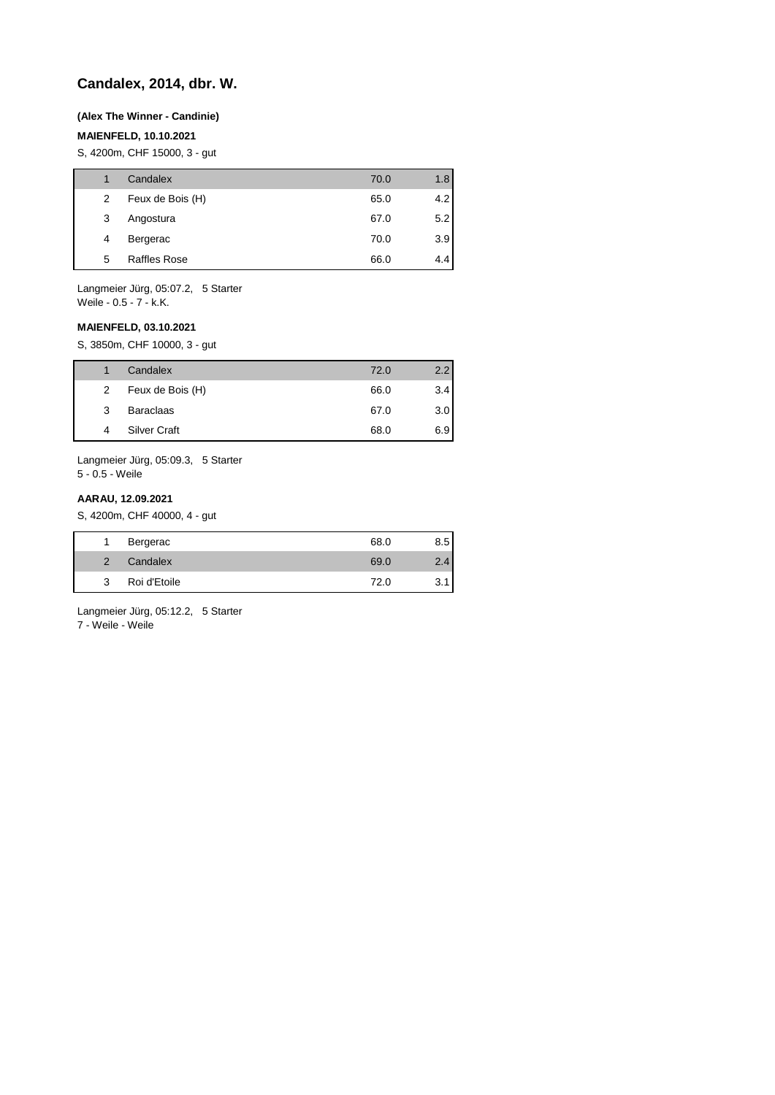## **Candalex, 2014, dbr. W.**

#### **(Alex The Winner - Candinie)**

#### **MAIENFELD, 10.10.2021**

S, 4200m, CHF 15000, 3 - gut

|   | Candalex            | 70.0 | 1.8 |
|---|---------------------|------|-----|
| 2 | Feux de Bois (H)    | 65.0 | 4.2 |
| 3 | Angostura           | 67.0 | 5.2 |
| 4 | Bergerac            | 70.0 | 3.9 |
| 5 | <b>Raffles Rose</b> | 66.0 | 4.4 |
|   |                     |      |     |

Langmeier Jürg, 05:07.2, 5 Starter Weile - 0.5 - 7 - k.K.

### **MAIENFELD, 03.10.2021**

S, 3850m, CHF 10000, 3 - gut

|   | Candalex            | 72.0 | $2.2^{\circ}$ |
|---|---------------------|------|---------------|
| 2 | Feux de Bois (H)    | 66.0 | 3.4           |
| 3 | <b>Baraclaas</b>    | 67.0 | 3.0           |
| 4 | <b>Silver Craft</b> | 68.0 | 6.9           |

Langmeier Jürg, 05:09.3, 5 Starter 5 - 0.5 - Weile

#### **AARAU, 12.09.2021**

S, 4200m, CHF 40000, 4 - gut

|               | Bergerac     | 68.0 | 8.5 |
|---------------|--------------|------|-----|
| $\mathcal{P}$ | Candalex     | 69.0 | Δ   |
| 3             | Roi d'Etoile | 72.0 |     |

Langmeier Jürg, 05:12.2, 5 Starter

7 - Weile - Weile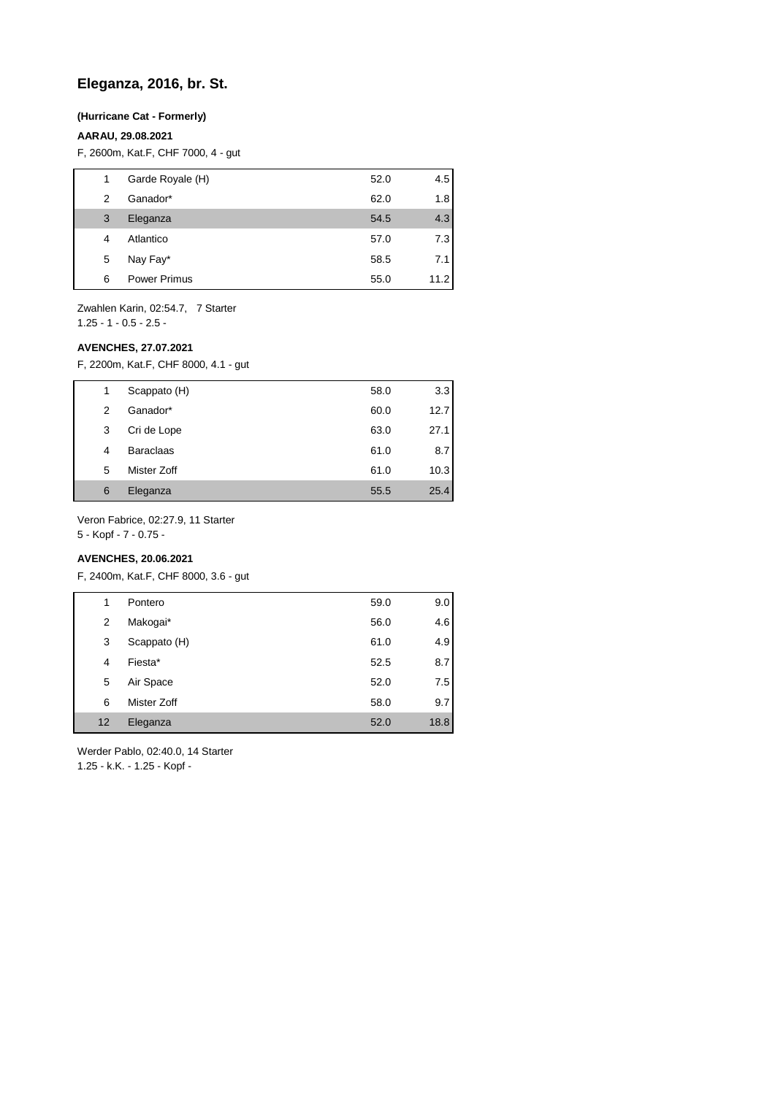## **Eleganza, 2016, br. St.**

### **(Hurricane Cat - Formerly)**

## **AARAU, 29.08.2021**

F, 2600m, Kat.F, CHF 7000, 4 - gut

| 1 | Garde Royale (H)    | 52.0 | 4.5  |
|---|---------------------|------|------|
| 2 | Ganador*            | 62.0 | 1.8  |
| 3 | Eleganza            | 54.5 | 4.3  |
| 4 | Atlantico           | 57.0 | 7.3  |
| 5 | Nay Fay*            | 58.5 | 7.1  |
| 6 | <b>Power Primus</b> | 55.0 | 11.2 |

Zwahlen Karin, 02:54.7, 7 Starter 1.25 - 1 - 0.5 - 2.5 -

#### **AVENCHES, 27.07.2021**

F, 2200m, Kat.F, CHF 8000, 4.1 - gut

| 1 | Scappato (H)     | 58.0 | 3.3  |
|---|------------------|------|------|
| 2 | Ganador*         | 60.0 | 12.7 |
| 3 | Cri de Lope      | 63.0 | 27.1 |
| 4 | <b>Baraclaas</b> | 61.0 | 8.7  |
| 5 | Mister Zoff      | 61.0 | 10.3 |
| 6 | Eleganza         | 55.5 | 25.4 |

Veron Fabrice, 02:27.9, 11 Starter

5 - Kopf - 7 - 0.75 -

## **AVENCHES, 20.06.2021**

F, 2400m, Kat.F, CHF 8000, 3.6 - gut

| 1                 | Pontero      | 59.0 | 9.0  |
|-------------------|--------------|------|------|
| 2                 | Makogai*     | 56.0 | 4.6  |
| 3                 | Scappato (H) | 61.0 | 4.9  |
| 4                 | Fiesta*      | 52.5 | 8.7  |
| 5                 | Air Space    | 52.0 | 7.5  |
| 6                 | Mister Zoff  | 58.0 | 9.7  |
| $12 \overline{ }$ | Eleganza     | 52.0 | 18.8 |
|                   |              |      |      |

Werder Pablo, 02:40.0, 14 Starter

1.25 - k.K. - 1.25 - Kopf -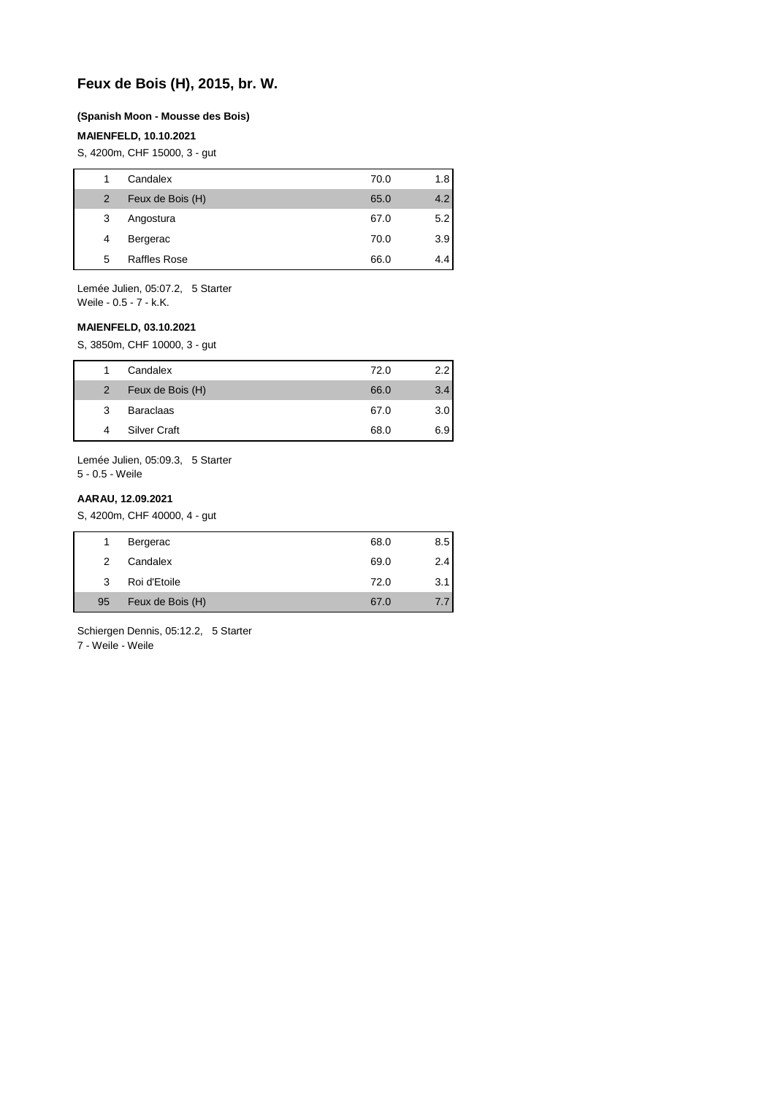## **Feux de Bois (H), 2015, br. W.**

#### **(Spanish Moon - Mousse des Bois)**

#### **MAIENFELD, 10.10.2021**

S, 4200m, CHF 15000, 3 - gut

| 1              | Candalex            | 70.0 | 1.8 |
|----------------|---------------------|------|-----|
| $\overline{2}$ | Feux de Bois (H)    | 65.0 | 4.2 |
| 3              | Angostura           | 67.0 | 5.2 |
| 4              | Bergerac            | 70.0 | 3.9 |
| 5              | <b>Raffles Rose</b> | 66.0 | 4.4 |
|                |                     |      |     |

Lemée Julien, 05:07.2, 5 Starter Weile - 0.5 - 7 - k.K.

#### **MAIENFELD, 03.10.2021**

S, 3850m, CHF 10000, 3 - gut

|                | Candalex            | 72.0 | 2.2 |
|----------------|---------------------|------|-----|
| $\overline{2}$ | Feux de Bois (H)    | 66.0 | 3.4 |
| 3              | <b>Baraclaas</b>    | 67.0 | 3.0 |
| 4              | <b>Silver Craft</b> | 68.0 | 6.9 |

Lemée Julien, 05:09.3, 5 Starter 5 - 0.5 - Weile

#### **AARAU, 12.09.2021**

S, 4200m, CHF 40000, 4 - gut

|    | Bergerac         | 68.0 | 8.5 |
|----|------------------|------|-----|
| 2  | Candalex         | 69.0 | 2.4 |
| 3  | Roi d'Etoile     | 72.0 | 3.1 |
| 95 | Feux de Bois (H) | 67.0 | 7.7 |

Schiergen Dennis, 05:12.2, 5 Starter

7 - Weile - Weile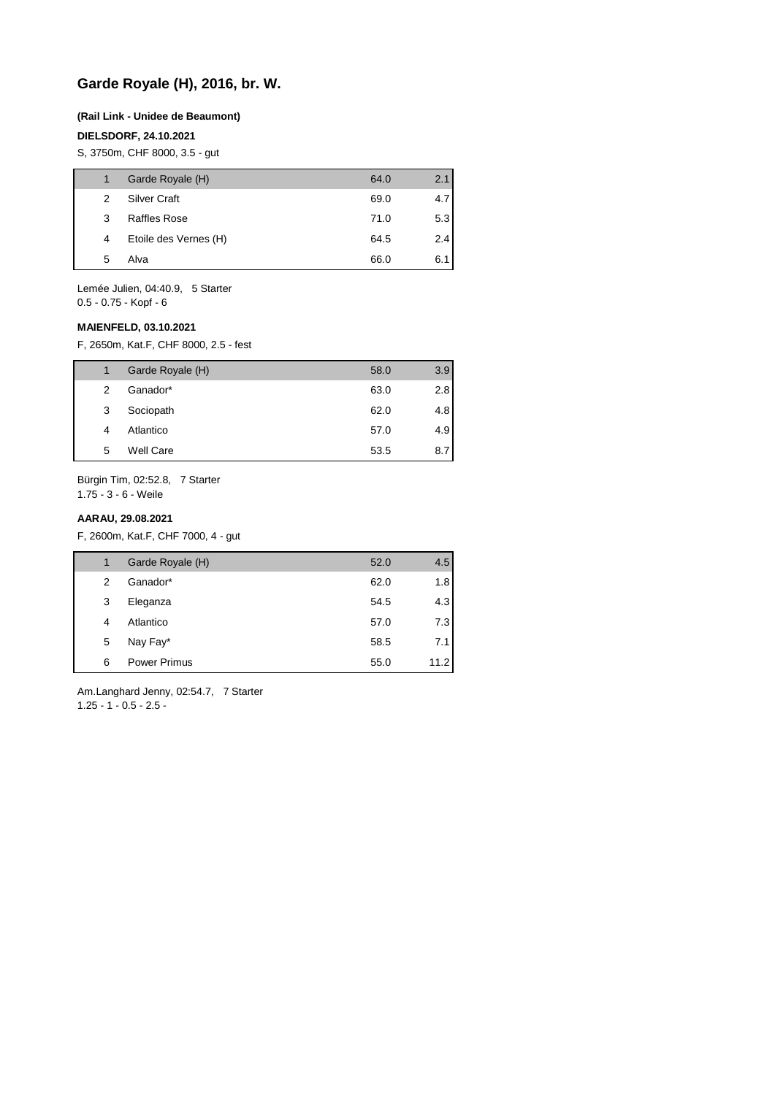# **Garde Royale (H), 2016, br. W.**

#### **(Rail Link - Unidee de Beaumont)**

#### **DIELSDORF, 24.10.2021**

S, 3750m, CHF 8000, 3.5 - gut

|   | Garde Royale (H)      | 64.0 | 2.1 |
|---|-----------------------|------|-----|
| 2 | <b>Silver Craft</b>   | 69.0 | 4.7 |
| 3 | Raffles Rose          | 71.0 | 5.3 |
| 4 | Etoile des Vernes (H) | 64.5 | 2.4 |
| 5 | Alva                  | 66.0 | 6.1 |
|   |                       |      |     |

Lemée Julien, 04:40.9, 5 Starter 0.5 - 0.75 - Kopf - 6

#### **MAIENFELD, 03.10.2021**

F, 2650m, Kat.F, CHF 8000, 2.5 - fest

| 1 | Garde Royale (H) | 58.0 | 3.9 |
|---|------------------|------|-----|
| 2 | Ganador*         | 63.0 | 2.8 |
| 3 | Sociopath        | 62.0 | 4.8 |
| 4 | Atlantico        | 57.0 | 4.9 |
| 5 | Well Care        | 53.5 | 8.7 |

Bürgin Tim, 02:52.8, 7 Starter

1.75 - 3 - 6 - Weile

### **AARAU, 29.08.2021**

F, 2600m, Kat.F, CHF 7000, 4 - gut

| 1 | Garde Royale (H)    | 52.0 | 4.5  |
|---|---------------------|------|------|
| 2 | Ganador*            | 62.0 | 1.8  |
| 3 | Eleganza            | 54.5 | 4.3  |
| 4 | Atlantico           | 57.0 | 7.3  |
| 5 | Nay Fay*            | 58.5 | 7.1  |
| 6 | <b>Power Primus</b> | 55.0 | 11.2 |

Am.Langhard Jenny, 02:54.7, 7 Starter  $1.25 - 1 - 0.5 - 2.5$